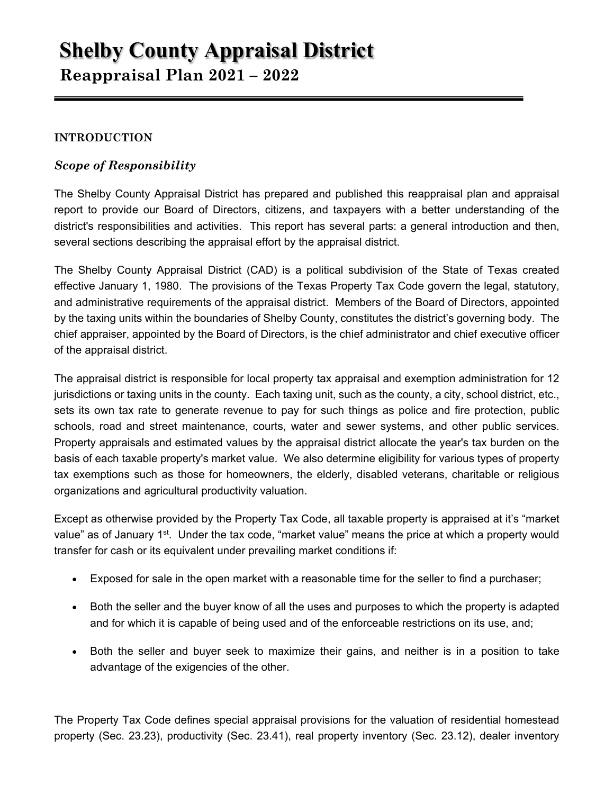# **Shelby County Appraisal District Reappraisal Plan 2021 – 2022**

# **INTRODUCTION**

# *Scope of Responsibility*

The Shelby County Appraisal District has prepared and published this reappraisal plan and appraisal report to provide our Board of Directors, citizens, and taxpayers with a better understanding of the district's responsibilities and activities. This report has several parts: a general introduction and then, several sections describing the appraisal effort by the appraisal district.

The Shelby County Appraisal District (CAD) is a political subdivision of the State of Texas created effective January 1, 1980. The provisions of the Texas Property Tax Code govern the legal, statutory, and administrative requirements of the appraisal district. Members of the Board of Directors, appointed by the taxing units within the boundaries of Shelby County, constitutes the district's governing body. The chief appraiser, appointed by the Board of Directors, is the chief administrator and chief executive officer of the appraisal district.

The appraisal district is responsible for local property tax appraisal and exemption administration for 12 jurisdictions or taxing units in the county. Each taxing unit, such as the county, a city, school district, etc., sets its own tax rate to generate revenue to pay for such things as police and fire protection, public schools, road and street maintenance, courts, water and sewer systems, and other public services. Property appraisals and estimated values by the appraisal district allocate the year's tax burden on the basis of each taxable property's market value. We also determine eligibility for various types of property tax exemptions such as those for homeowners, the elderly, disabled veterans, charitable or religious organizations and agricultural productivity valuation.

Except as otherwise provided by the Property Tax Code, all taxable property is appraised at it's "market value" as of January 1<sup>st</sup>. Under the tax code, "market value" means the price at which a property would transfer for cash or its equivalent under prevailing market conditions if:

- Exposed for sale in the open market with a reasonable time for the seller to find a purchaser;
- Both the seller and the buyer know of all the uses and purposes to which the property is adapted and for which it is capable of being used and of the enforceable restrictions on its use, and;
- Both the seller and buyer seek to maximize their gains, and neither is in a position to take advantage of the exigencies of the other.

The Property Tax Code defines special appraisal provisions for the valuation of residential homestead property (Sec. 23.23), productivity (Sec. 23.41), real property inventory (Sec. 23.12), dealer inventory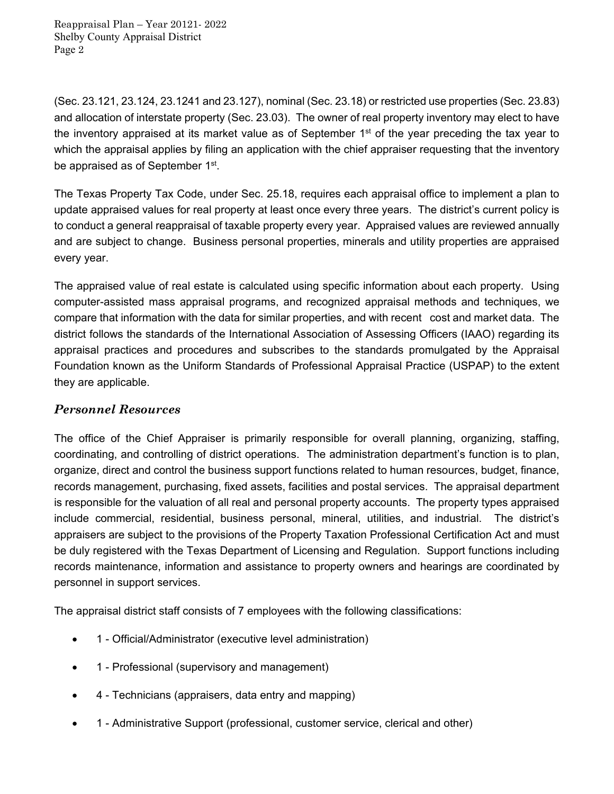(Sec. 23.121, 23.124, 23.1241 and 23.127), nominal (Sec. 23.18) or restricted use properties (Sec. 23.83) and allocation of interstate property (Sec. 23.03). The owner of real property inventory may elect to have the inventory appraised at its market value as of September 1<sup>st</sup> of the year preceding the tax year to which the appraisal applies by filing an application with the chief appraiser requesting that the inventory be appraised as of September 1<sup>st</sup>.

The Texas Property Tax Code, under Sec. 25.18, requires each appraisal office to implement a plan to update appraised values for real property at least once every three years. The district's current policy is to conduct a general reappraisal of taxable property every year. Appraised values are reviewed annually and are subject to change. Business personal properties, minerals and utility properties are appraised every year.

The appraised value of real estate is calculated using specific information about each property. Using computer-assisted mass appraisal programs, and recognized appraisal methods and techniques, we compare that information with the data for similar properties, and with recent cost and market data. The district follows the standards of the International Association of Assessing Officers (IAAO) regarding its appraisal practices and procedures and subscribes to the standards promulgated by the Appraisal Foundation known as the Uniform Standards of Professional Appraisal Practice (USPAP) to the extent they are applicable.

# *Personnel Resources*

The office of the Chief Appraiser is primarily responsible for overall planning, organizing, staffing, coordinating, and controlling of district operations. The administration department's function is to plan, organize, direct and control the business support functions related to human resources, budget, finance, records management, purchasing, fixed assets, facilities and postal services. The appraisal department is responsible for the valuation of all real and personal property accounts. The property types appraised include commercial, residential, business personal, mineral, utilities, and industrial. The district's appraisers are subject to the provisions of the Property Taxation Professional Certification Act and must be duly registered with the Texas Department of Licensing and Regulation. Support functions including records maintenance, information and assistance to property owners and hearings are coordinated by personnel in support services.

The appraisal district staff consists of 7 employees with the following classifications:

- 1 Official/Administrator (executive level administration)
- 1 Professional (supervisory and management)
- 4 Technicians (appraisers, data entry and mapping)
- 1 Administrative Support (professional, customer service, clerical and other)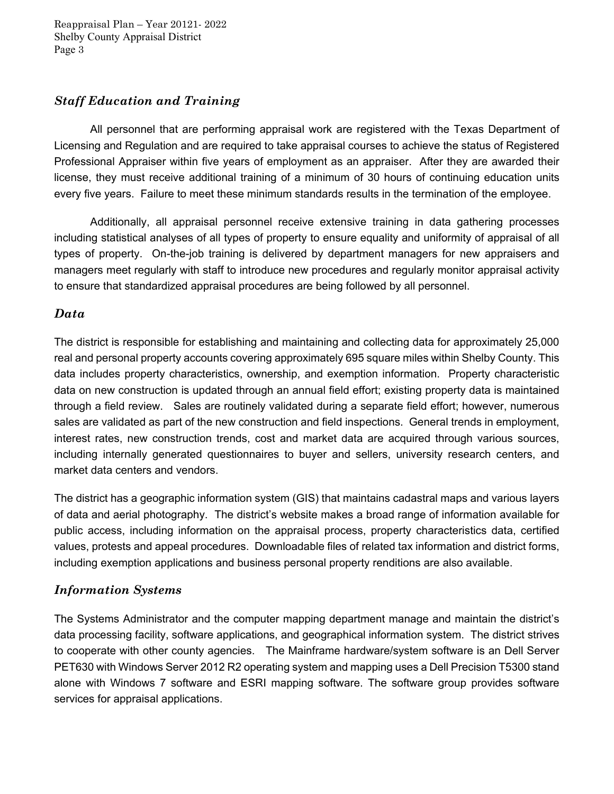# *Staff Education and Training*

 All personnel that are performing appraisal work are registered with the Texas Department of Licensing and Regulation and are required to take appraisal courses to achieve the status of Registered Professional Appraiser within five years of employment as an appraiser. After they are awarded their license, they must receive additional training of a minimum of 30 hours of continuing education units every five years. Failure to meet these minimum standards results in the termination of the employee.

 Additionally, all appraisal personnel receive extensive training in data gathering processes including statistical analyses of all types of property to ensure equality and uniformity of appraisal of all types of property. On-the-job training is delivered by department managers for new appraisers and managers meet regularly with staff to introduce new procedures and regularly monitor appraisal activity to ensure that standardized appraisal procedures are being followed by all personnel.

# *Data*

The district is responsible for establishing and maintaining and collecting data for approximately 25,000 real and personal property accounts covering approximately 695 square miles within Shelby County. This data includes property characteristics, ownership, and exemption information. Property characteristic data on new construction is updated through an annual field effort; existing property data is maintained through a field review. Sales are routinely validated during a separate field effort; however, numerous sales are validated as part of the new construction and field inspections. General trends in employment, interest rates, new construction trends, cost and market data are acquired through various sources, including internally generated questionnaires to buyer and sellers, university research centers, and market data centers and vendors.

The district has a geographic information system (GIS) that maintains cadastral maps and various layers of data and aerial photography. The district's website makes a broad range of information available for public access, including information on the appraisal process, property characteristics data, certified values, protests and appeal procedures. Downloadable files of related tax information and district forms, including exemption applications and business personal property renditions are also available.

# *Information Systems*

The Systems Administrator and the computer mapping department manage and maintain the district's data processing facility, software applications, and geographical information system. The district strives to cooperate with other county agencies. The Mainframe hardware/system software is an Dell Server PET630 with Windows Server 2012 R2 operating system and mapping uses a Dell Precision T5300 stand alone with Windows 7 software and ESRI mapping software. The software group provides software services for appraisal applications.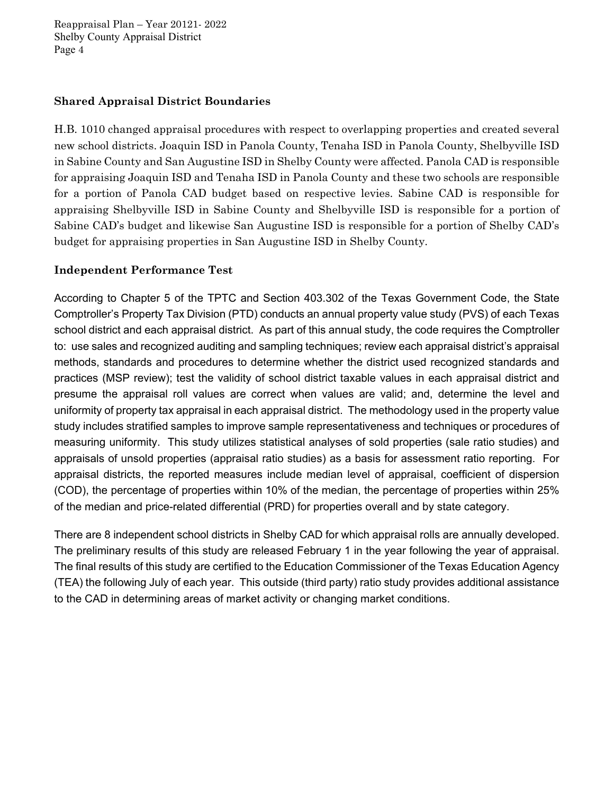### **Shared Appraisal District Boundaries**

H.B. 1010 changed appraisal procedures with respect to overlapping properties and created several new school districts. Joaquin ISD in Panola County, Tenaha ISD in Panola County, Shelbyville ISD in Sabine County and San Augustine ISD in Shelby County were affected. Panola CAD is responsible for appraising Joaquin ISD and Tenaha ISD in Panola County and these two schools are responsible for a portion of Panola CAD budget based on respective levies. Sabine CAD is responsible for appraising Shelbyville ISD in Sabine County and Shelbyville ISD is responsible for a portion of Sabine CAD's budget and likewise San Augustine ISD is responsible for a portion of Shelby CAD's budget for appraising properties in San Augustine ISD in Shelby County.

### **Independent Performance Test**

According to Chapter 5 of the TPTC and Section 403.302 of the Texas Government Code, the State Comptroller's Property Tax Division (PTD) conducts an annual property value study (PVS) of each Texas school district and each appraisal district. As part of this annual study, the code requires the Comptroller to: use sales and recognized auditing and sampling techniques; review each appraisal district's appraisal methods, standards and procedures to determine whether the district used recognized standards and practices (MSP review); test the validity of school district taxable values in each appraisal district and presume the appraisal roll values are correct when values are valid; and, determine the level and uniformity of property tax appraisal in each appraisal district. The methodology used in the property value study includes stratified samples to improve sample representativeness and techniques or procedures of measuring uniformity. This study utilizes statistical analyses of sold properties (sale ratio studies) and appraisals of unsold properties (appraisal ratio studies) as a basis for assessment ratio reporting. For appraisal districts, the reported measures include median level of appraisal, coefficient of dispersion (COD), the percentage of properties within 10% of the median, the percentage of properties within 25% of the median and price-related differential (PRD) for properties overall and by state category.

There are 8 independent school districts in Shelby CAD for which appraisal rolls are annually developed. The preliminary results of this study are released February 1 in the year following the year of appraisal. The final results of this study are certified to the Education Commissioner of the Texas Education Agency (TEA) the following July of each year. This outside (third party) ratio study provides additional assistance to the CAD in determining areas of market activity or changing market conditions.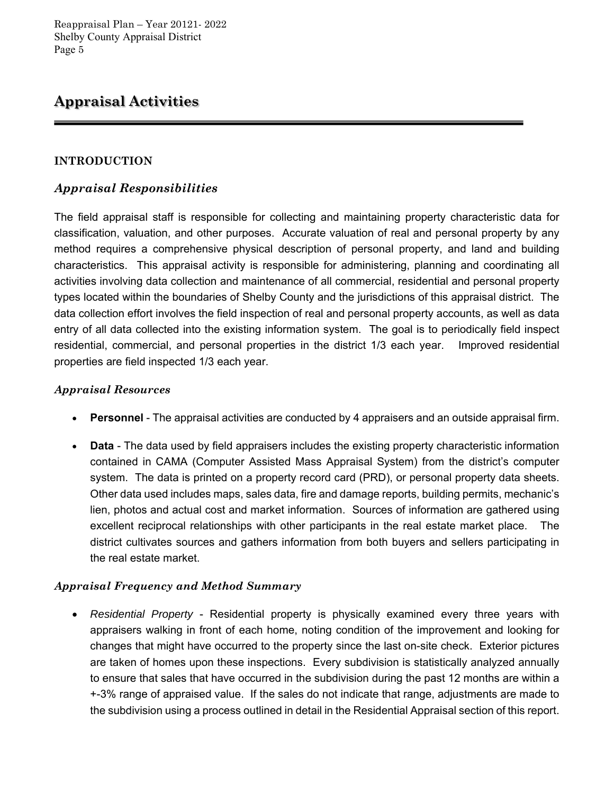# **Appraisal Activities**

### **INTRODUCTION**

# *Appraisal Responsibilities*

The field appraisal staff is responsible for collecting and maintaining property characteristic data for classification, valuation, and other purposes. Accurate valuation of real and personal property by any method requires a comprehensive physical description of personal property, and land and building characteristics. This appraisal activity is responsible for administering, planning and coordinating all activities involving data collection and maintenance of all commercial, residential and personal property types located within the boundaries of Shelby County and the jurisdictions of this appraisal district. The data collection effort involves the field inspection of real and personal property accounts, as well as data entry of all data collected into the existing information system. The goal is to periodically field inspect residential, commercial, and personal properties in the district 1/3 each year. Improved residential properties are field inspected 1/3 each year.

### *Appraisal Resources*

- **Personnel** The appraisal activities are conducted by 4 appraisers and an outside appraisal firm.
- **Data** The data used by field appraisers includes the existing property characteristic information contained in CAMA (Computer Assisted Mass Appraisal System) from the district's computer system. The data is printed on a property record card (PRD), or personal property data sheets. Other data used includes maps, sales data, fire and damage reports, building permits, mechanic's lien, photos and actual cost and market information. Sources of information are gathered using excellent reciprocal relationships with other participants in the real estate market place. The district cultivates sources and gathers information from both buyers and sellers participating in the real estate market.

### *Appraisal Frequency and Method Summary*

 *Residential Property* - Residential property is physically examined every three years with appraisers walking in front of each home, noting condition of the improvement and looking for changes that might have occurred to the property since the last on-site check. Exterior pictures are taken of homes upon these inspections. Every subdivision is statistically analyzed annually to ensure that sales that have occurred in the subdivision during the past 12 months are within a +-3% range of appraised value. If the sales do not indicate that range, adjustments are made to the subdivision using a process outlined in detail in the Residential Appraisal section of this report.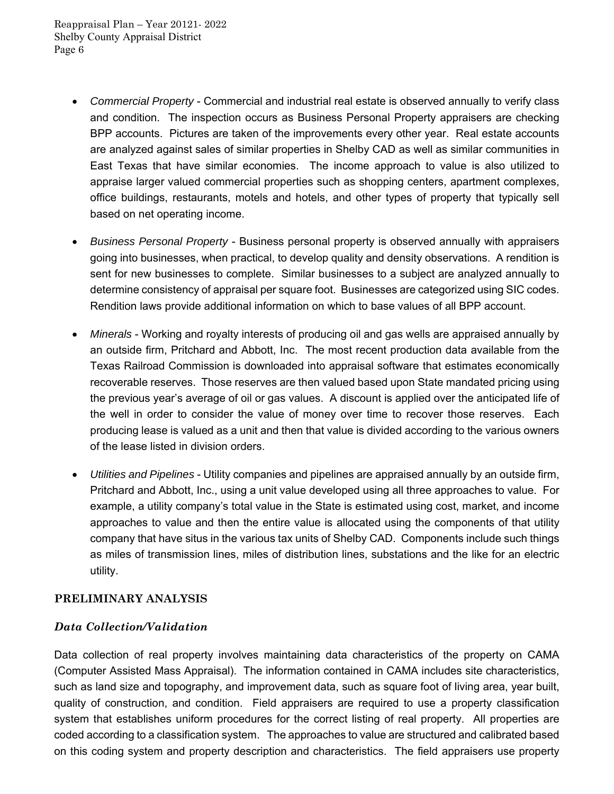- *Commercial Property* Commercial and industrial real estate is observed annually to verify class and condition. The inspection occurs as Business Personal Property appraisers are checking BPP accounts. Pictures are taken of the improvements every other year. Real estate accounts are analyzed against sales of similar properties in Shelby CAD as well as similar communities in East Texas that have similar economies. The income approach to value is also utilized to appraise larger valued commercial properties such as shopping centers, apartment complexes, office buildings, restaurants, motels and hotels, and other types of property that typically sell based on net operating income.
- *Business Personal Property* Business personal property is observed annually with appraisers going into businesses, when practical, to develop quality and density observations. A rendition is sent for new businesses to complete. Similar businesses to a subject are analyzed annually to determine consistency of appraisal per square foot. Businesses are categorized using SIC codes. Rendition laws provide additional information on which to base values of all BPP account.
- *Minerals* Working and royalty interests of producing oil and gas wells are appraised annually by an outside firm, Pritchard and Abbott, Inc. The most recent production data available from the Texas Railroad Commission is downloaded into appraisal software that estimates economically recoverable reserves. Those reserves are then valued based upon State mandated pricing using the previous year's average of oil or gas values. A discount is applied over the anticipated life of the well in order to consider the value of money over time to recover those reserves. Each producing lease is valued as a unit and then that value is divided according to the various owners of the lease listed in division orders.
- *Utilities and Pipelines* Utility companies and pipelines are appraised annually by an outside firm, Pritchard and Abbott, Inc., using a unit value developed using all three approaches to value. For example, a utility company's total value in the State is estimated using cost, market, and income approaches to value and then the entire value is allocated using the components of that utility company that have situs in the various tax units of Shelby CAD. Components include such things as miles of transmission lines, miles of distribution lines, substations and the like for an electric utility.

# **PRELIMINARY ANALYSIS**

### *Data Collection/Validation*

Data collection of real property involves maintaining data characteristics of the property on CAMA (Computer Assisted Mass Appraisal). The information contained in CAMA includes site characteristics, such as land size and topography, and improvement data, such as square foot of living area, year built, quality of construction, and condition. Field appraisers are required to use a property classification system that establishes uniform procedures for the correct listing of real property. All properties are coded according to a classification system. The approaches to value are structured and calibrated based on this coding system and property description and characteristics. The field appraisers use property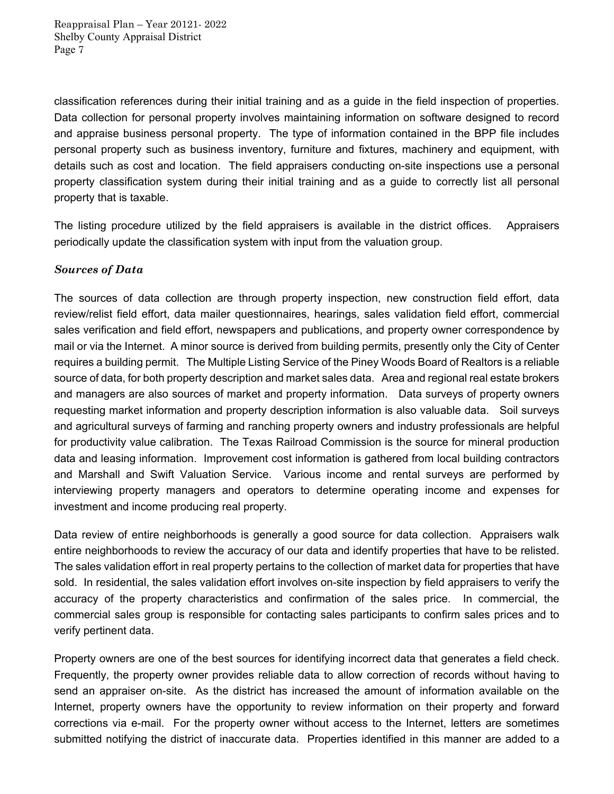classification references during their initial training and as a guide in the field inspection of properties. Data collection for personal property involves maintaining information on software designed to record and appraise business personal property. The type of information contained in the BPP file includes personal property such as business inventory, furniture and fixtures, machinery and equipment, with details such as cost and location. The field appraisers conducting on-site inspections use a personal property classification system during their initial training and as a guide to correctly list all personal property that is taxable.

The listing procedure utilized by the field appraisers is available in the district offices. Appraisers periodically update the classification system with input from the valuation group.

# *Sources of Data*

The sources of data collection are through property inspection, new construction field effort, data review/relist field effort, data mailer questionnaires, hearings, sales validation field effort, commercial sales verification and field effort, newspapers and publications, and property owner correspondence by mail or via the Internet. A minor source is derived from building permits, presently only the City of Center requires a building permit. The Multiple Listing Service of the Piney Woods Board of Realtors is a reliable source of data, for both property description and market sales data. Area and regional real estate brokers and managers are also sources of market and property information. Data surveys of property owners requesting market information and property description information is also valuable data. Soil surveys and agricultural surveys of farming and ranching property owners and industry professionals are helpful for productivity value calibration. The Texas Railroad Commission is the source for mineral production data and leasing information. Improvement cost information is gathered from local building contractors and Marshall and Swift Valuation Service. Various income and rental surveys are performed by interviewing property managers and operators to determine operating income and expenses for investment and income producing real property.

Data review of entire neighborhoods is generally a good source for data collection. Appraisers walk entire neighborhoods to review the accuracy of our data and identify properties that have to be relisted. The sales validation effort in real property pertains to the collection of market data for properties that have sold. In residential, the sales validation effort involves on-site inspection by field appraisers to verify the accuracy of the property characteristics and confirmation of the sales price. In commercial, the commercial sales group is responsible for contacting sales participants to confirm sales prices and to verify pertinent data.

Property owners are one of the best sources for identifying incorrect data that generates a field check. Frequently, the property owner provides reliable data to allow correction of records without having to send an appraiser on-site. As the district has increased the amount of information available on the Internet, property owners have the opportunity to review information on their property and forward corrections via e-mail. For the property owner without access to the Internet, letters are sometimes submitted notifying the district of inaccurate data. Properties identified in this manner are added to a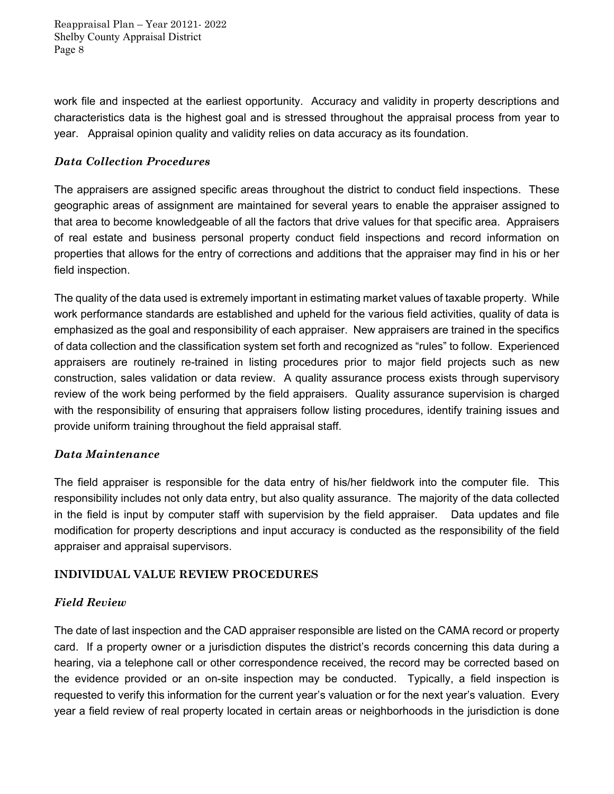work file and inspected at the earliest opportunity. Accuracy and validity in property descriptions and characteristics data is the highest goal and is stressed throughout the appraisal process from year to year. Appraisal opinion quality and validity relies on data accuracy as its foundation.

### *Data Collection Procedures*

The appraisers are assigned specific areas throughout the district to conduct field inspections. These geographic areas of assignment are maintained for several years to enable the appraiser assigned to that area to become knowledgeable of all the factors that drive values for that specific area. Appraisers of real estate and business personal property conduct field inspections and record information on properties that allows for the entry of corrections and additions that the appraiser may find in his or her field inspection.

The quality of the data used is extremely important in estimating market values of taxable property. While work performance standards are established and upheld for the various field activities, quality of data is emphasized as the goal and responsibility of each appraiser. New appraisers are trained in the specifics of data collection and the classification system set forth and recognized as "rules" to follow. Experienced appraisers are routinely re-trained in listing procedures prior to major field projects such as new construction, sales validation or data review. A quality assurance process exists through supervisory review of the work being performed by the field appraisers. Quality assurance supervision is charged with the responsibility of ensuring that appraisers follow listing procedures, identify training issues and provide uniform training throughout the field appraisal staff.

### *Data Maintenance*

The field appraiser is responsible for the data entry of his/her fieldwork into the computer file. This responsibility includes not only data entry, but also quality assurance. The majority of the data collected in the field is input by computer staff with supervision by the field appraiser. Data updates and file modification for property descriptions and input accuracy is conducted as the responsibility of the field appraiser and appraisal supervisors.

### **INDIVIDUAL VALUE REVIEW PROCEDURES**

### *Field Review*

The date of last inspection and the CAD appraiser responsible are listed on the CAMA record or property card. If a property owner or a jurisdiction disputes the district's records concerning this data during a hearing, via a telephone call or other correspondence received, the record may be corrected based on the evidence provided or an on-site inspection may be conducted. Typically, a field inspection is requested to verify this information for the current year's valuation or for the next year's valuation. Every year a field review of real property located in certain areas or neighborhoods in the jurisdiction is done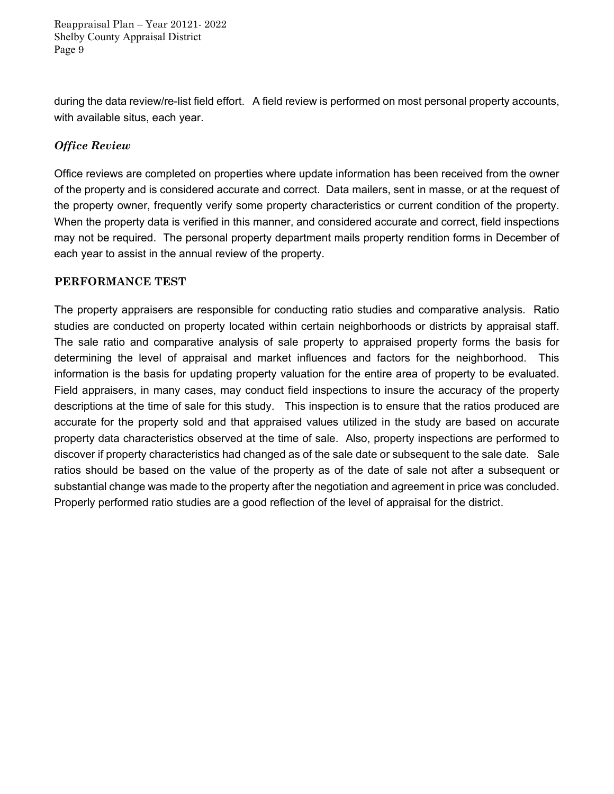during the data review/re-list field effort. A field review is performed on most personal property accounts, with available situs, each year.

# *Office Review*

Office reviews are completed on properties where update information has been received from the owner of the property and is considered accurate and correct. Data mailers, sent in masse, or at the request of the property owner, frequently verify some property characteristics or current condition of the property. When the property data is verified in this manner, and considered accurate and correct, field inspections may not be required. The personal property department mails property rendition forms in December of each year to assist in the annual review of the property.

### **PERFORMANCE TEST**

The property appraisers are responsible for conducting ratio studies and comparative analysis. Ratio studies are conducted on property located within certain neighborhoods or districts by appraisal staff. The sale ratio and comparative analysis of sale property to appraised property forms the basis for determining the level of appraisal and market influences and factors for the neighborhood. This information is the basis for updating property valuation for the entire area of property to be evaluated. Field appraisers, in many cases, may conduct field inspections to insure the accuracy of the property descriptions at the time of sale for this study. This inspection is to ensure that the ratios produced are accurate for the property sold and that appraised values utilized in the study are based on accurate property data characteristics observed at the time of sale. Also, property inspections are performed to discover if property characteristics had changed as of the sale date or subsequent to the sale date. Sale ratios should be based on the value of the property as of the date of sale not after a subsequent or substantial change was made to the property after the negotiation and agreement in price was concluded. Properly performed ratio studies are a good reflection of the level of appraisal for the district.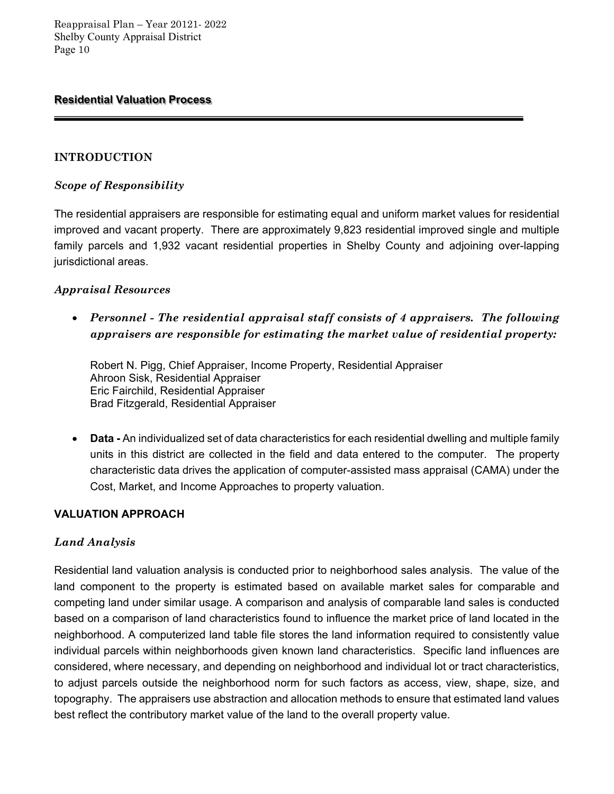### **Residential Valuation Process**

### **INTRODUCTION**

### *Scope of Responsibility*

The residential appraisers are responsible for estimating equal and uniform market values for residential improved and vacant property. There are approximately 9,823 residential improved single and multiple family parcels and 1,932 vacant residential properties in Shelby County and adjoining over-lapping jurisdictional areas.

### *Appraisal Resources*

 *Personnel - The residential appraisal staff consists of 4 appraisers. The following appraisers are responsible for estimating the market value of residential property:* 

Robert N. Pigg, Chief Appraiser, Income Property, Residential Appraiser Ahroon Sisk, Residential Appraiser Eric Fairchild, Residential Appraiser Brad Fitzgerald, Residential Appraiser

 **Data -** An individualized set of data characteristics for each residential dwelling and multiple family units in this district are collected in the field and data entered to the computer. The property characteristic data drives the application of computer-assisted mass appraisal (CAMA) under the Cost, Market, and Income Approaches to property valuation.

#### **VALUATION APPROACH**

#### *Land Analysis*

Residential land valuation analysis is conducted prior to neighborhood sales analysis. The value of the land component to the property is estimated based on available market sales for comparable and competing land under similar usage. A comparison and analysis of comparable land sales is conducted based on a comparison of land characteristics found to influence the market price of land located in the neighborhood. A computerized land table file stores the land information required to consistently value individual parcels within neighborhoods given known land characteristics. Specific land influences are considered, where necessary, and depending on neighborhood and individual lot or tract characteristics, to adjust parcels outside the neighborhood norm for such factors as access, view, shape, size, and topography. The appraisers use abstraction and allocation methods to ensure that estimated land values best reflect the contributory market value of the land to the overall property value.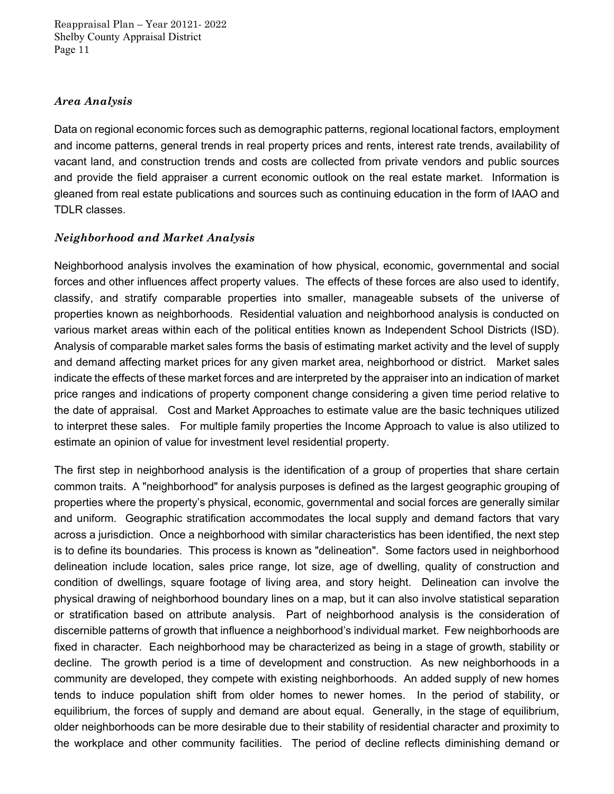### *Area Analysis*

Data on regional economic forces such as demographic patterns, regional locational factors, employment and income patterns, general trends in real property prices and rents, interest rate trends, availability of vacant land, and construction trends and costs are collected from private vendors and public sources and provide the field appraiser a current economic outlook on the real estate market. Information is gleaned from real estate publications and sources such as continuing education in the form of IAAO and TDLR classes.

### *Neighborhood and Market Analysis*

Neighborhood analysis involves the examination of how physical, economic, governmental and social forces and other influences affect property values. The effects of these forces are also used to identify, classify, and stratify comparable properties into smaller, manageable subsets of the universe of properties known as neighborhoods. Residential valuation and neighborhood analysis is conducted on various market areas within each of the political entities known as Independent School Districts (ISD). Analysis of comparable market sales forms the basis of estimating market activity and the level of supply and demand affecting market prices for any given market area, neighborhood or district. Market sales indicate the effects of these market forces and are interpreted by the appraiser into an indication of market price ranges and indications of property component change considering a given time period relative to the date of appraisal. Cost and Market Approaches to estimate value are the basic techniques utilized to interpret these sales. For multiple family properties the Income Approach to value is also utilized to estimate an opinion of value for investment level residential property.

The first step in neighborhood analysis is the identification of a group of properties that share certain common traits. A "neighborhood" for analysis purposes is defined as the largest geographic grouping of properties where the property's physical, economic, governmental and social forces are generally similar and uniform. Geographic stratification accommodates the local supply and demand factors that vary across a jurisdiction. Once a neighborhood with similar characteristics has been identified, the next step is to define its boundaries. This process is known as "delineation". Some factors used in neighborhood delineation include location, sales price range, lot size, age of dwelling, quality of construction and condition of dwellings, square footage of living area, and story height. Delineation can involve the physical drawing of neighborhood boundary lines on a map, but it can also involve statistical separation or stratification based on attribute analysis. Part of neighborhood analysis is the consideration of discernible patterns of growth that influence a neighborhood's individual market. Few neighborhoods are fixed in character. Each neighborhood may be characterized as being in a stage of growth, stability or decline. The growth period is a time of development and construction. As new neighborhoods in a community are developed, they compete with existing neighborhoods. An added supply of new homes tends to induce population shift from older homes to newer homes. In the period of stability, or equilibrium, the forces of supply and demand are about equal. Generally, in the stage of equilibrium, older neighborhoods can be more desirable due to their stability of residential character and proximity to the workplace and other community facilities. The period of decline reflects diminishing demand or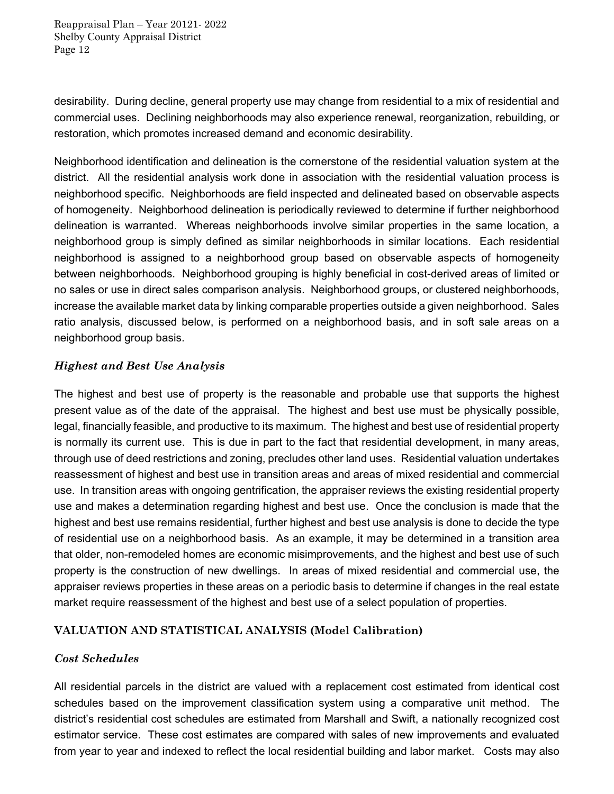desirability. During decline, general property use may change from residential to a mix of residential and commercial uses. Declining neighborhoods may also experience renewal, reorganization, rebuilding, or restoration, which promotes increased demand and economic desirability.

Neighborhood identification and delineation is the cornerstone of the residential valuation system at the district. All the residential analysis work done in association with the residential valuation process is neighborhood specific. Neighborhoods are field inspected and delineated based on observable aspects of homogeneity. Neighborhood delineation is periodically reviewed to determine if further neighborhood delineation is warranted. Whereas neighborhoods involve similar properties in the same location, a neighborhood group is simply defined as similar neighborhoods in similar locations. Each residential neighborhood is assigned to a neighborhood group based on observable aspects of homogeneity between neighborhoods. Neighborhood grouping is highly beneficial in cost-derived areas of limited or no sales or use in direct sales comparison analysis. Neighborhood groups, or clustered neighborhoods, increase the available market data by linking comparable properties outside a given neighborhood. Sales ratio analysis, discussed below, is performed on a neighborhood basis, and in soft sale areas on a neighborhood group basis.

### *Highest and Best Use Analysis*

The highest and best use of property is the reasonable and probable use that supports the highest present value as of the date of the appraisal. The highest and best use must be physically possible, legal, financially feasible, and productive to its maximum. The highest and best use of residential property is normally its current use. This is due in part to the fact that residential development, in many areas, through use of deed restrictions and zoning, precludes other land uses. Residential valuation undertakes reassessment of highest and best use in transition areas and areas of mixed residential and commercial use. In transition areas with ongoing gentrification, the appraiser reviews the existing residential property use and makes a determination regarding highest and best use. Once the conclusion is made that the highest and best use remains residential, further highest and best use analysis is done to decide the type of residential use on a neighborhood basis. As an example, it may be determined in a transition area that older, non-remodeled homes are economic misimprovements, and the highest and best use of such property is the construction of new dwellings. In areas of mixed residential and commercial use, the appraiser reviews properties in these areas on a periodic basis to determine if changes in the real estate market require reassessment of the highest and best use of a select population of properties.

### **VALUATION AND STATISTICAL ANALYSIS (Model Calibration)**

### *Cost Schedules*

All residential parcels in the district are valued with a replacement cost estimated from identical cost schedules based on the improvement classification system using a comparative unit method. The district's residential cost schedules are estimated from Marshall and Swift, a nationally recognized cost estimator service. These cost estimates are compared with sales of new improvements and evaluated from year to year and indexed to reflect the local residential building and labor market. Costs may also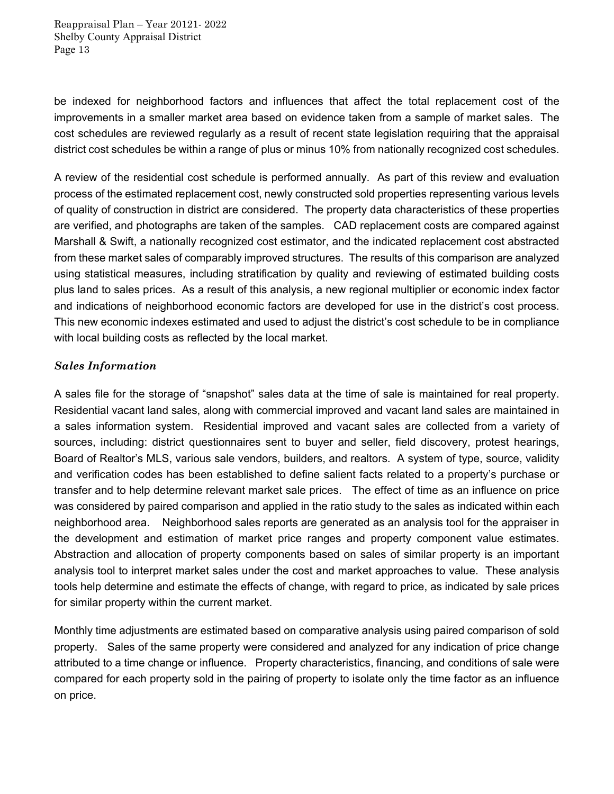be indexed for neighborhood factors and influences that affect the total replacement cost of the improvements in a smaller market area based on evidence taken from a sample of market sales. The cost schedules are reviewed regularly as a result of recent state legislation requiring that the appraisal district cost schedules be within a range of plus or minus 10% from nationally recognized cost schedules.

A review of the residential cost schedule is performed annually. As part of this review and evaluation process of the estimated replacement cost, newly constructed sold properties representing various levels of quality of construction in district are considered. The property data characteristics of these properties are verified, and photographs are taken of the samples. CAD replacement costs are compared against Marshall & Swift, a nationally recognized cost estimator, and the indicated replacement cost abstracted from these market sales of comparably improved structures. The results of this comparison are analyzed using statistical measures, including stratification by quality and reviewing of estimated building costs plus land to sales prices. As a result of this analysis, a new regional multiplier or economic index factor and indications of neighborhood economic factors are developed for use in the district's cost process. This new economic indexes estimated and used to adjust the district's cost schedule to be in compliance with local building costs as reflected by the local market.

### *Sales Information*

A sales file for the storage of "snapshot" sales data at the time of sale is maintained for real property. Residential vacant land sales, along with commercial improved and vacant land sales are maintained in a sales information system. Residential improved and vacant sales are collected from a variety of sources, including: district questionnaires sent to buyer and seller, field discovery, protest hearings, Board of Realtor's MLS, various sale vendors, builders, and realtors. A system of type, source, validity and verification codes has been established to define salient facts related to a property's purchase or transfer and to help determine relevant market sale prices. The effect of time as an influence on price was considered by paired comparison and applied in the ratio study to the sales as indicated within each neighborhood area. Neighborhood sales reports are generated as an analysis tool for the appraiser in the development and estimation of market price ranges and property component value estimates. Abstraction and allocation of property components based on sales of similar property is an important analysis tool to interpret market sales under the cost and market approaches to value. These analysis tools help determine and estimate the effects of change, with regard to price, as indicated by sale prices for similar property within the current market.

Monthly time adjustments are estimated based on comparative analysis using paired comparison of sold property. Sales of the same property were considered and analyzed for any indication of price change attributed to a time change or influence. Property characteristics, financing, and conditions of sale were compared for each property sold in the pairing of property to isolate only the time factor as an influence on price.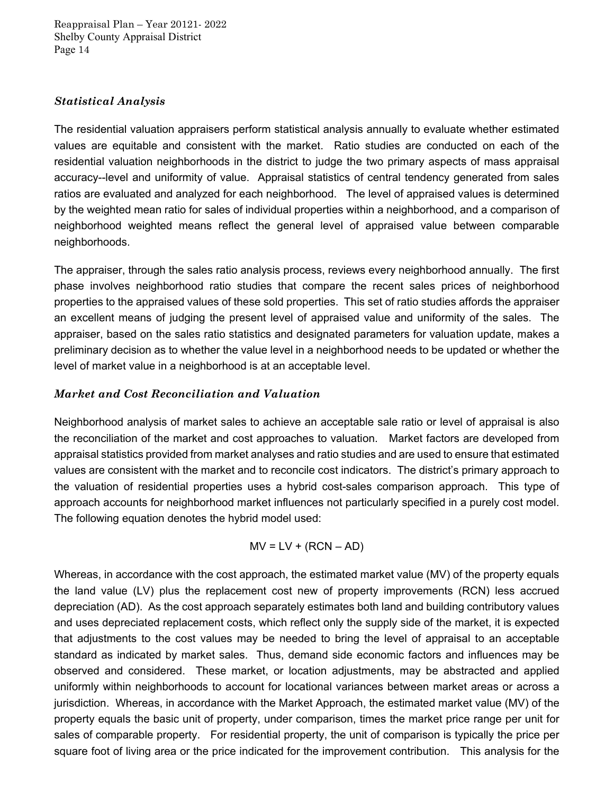### *Statistical Analysis*

The residential valuation appraisers perform statistical analysis annually to evaluate whether estimated values are equitable and consistent with the market. Ratio studies are conducted on each of the residential valuation neighborhoods in the district to judge the two primary aspects of mass appraisal accuracy--level and uniformity of value. Appraisal statistics of central tendency generated from sales ratios are evaluated and analyzed for each neighborhood. The level of appraised values is determined by the weighted mean ratio for sales of individual properties within a neighborhood, and a comparison of neighborhood weighted means reflect the general level of appraised value between comparable neighborhoods.

The appraiser, through the sales ratio analysis process, reviews every neighborhood annually. The first phase involves neighborhood ratio studies that compare the recent sales prices of neighborhood properties to the appraised values of these sold properties. This set of ratio studies affords the appraiser an excellent means of judging the present level of appraised value and uniformity of the sales. The appraiser, based on the sales ratio statistics and designated parameters for valuation update, makes a preliminary decision as to whether the value level in a neighborhood needs to be updated or whether the level of market value in a neighborhood is at an acceptable level.

### *Market and Cost Reconciliation and Valuation*

Neighborhood analysis of market sales to achieve an acceptable sale ratio or level of appraisal is also the reconciliation of the market and cost approaches to valuation. Market factors are developed from appraisal statistics provided from market analyses and ratio studies and are used to ensure that estimated values are consistent with the market and to reconcile cost indicators. The district's primary approach to the valuation of residential properties uses a hybrid cost-sales comparison approach. This type of approach accounts for neighborhood market influences not particularly specified in a purely cost model. The following equation denotes the hybrid model used:

$$
MV = LV + (RCN - AD)
$$

Whereas, in accordance with the cost approach, the estimated market value (MV) of the property equals the land value (LV) plus the replacement cost new of property improvements (RCN) less accrued depreciation (AD). As the cost approach separately estimates both land and building contributory values and uses depreciated replacement costs, which reflect only the supply side of the market, it is expected that adjustments to the cost values may be needed to bring the level of appraisal to an acceptable standard as indicated by market sales. Thus, demand side economic factors and influences may be observed and considered. These market, or location adjustments, may be abstracted and applied uniformly within neighborhoods to account for locational variances between market areas or across a jurisdiction. Whereas, in accordance with the Market Approach, the estimated market value (MV) of the property equals the basic unit of property, under comparison, times the market price range per unit for sales of comparable property. For residential property, the unit of comparison is typically the price per square foot of living area or the price indicated for the improvement contribution. This analysis for the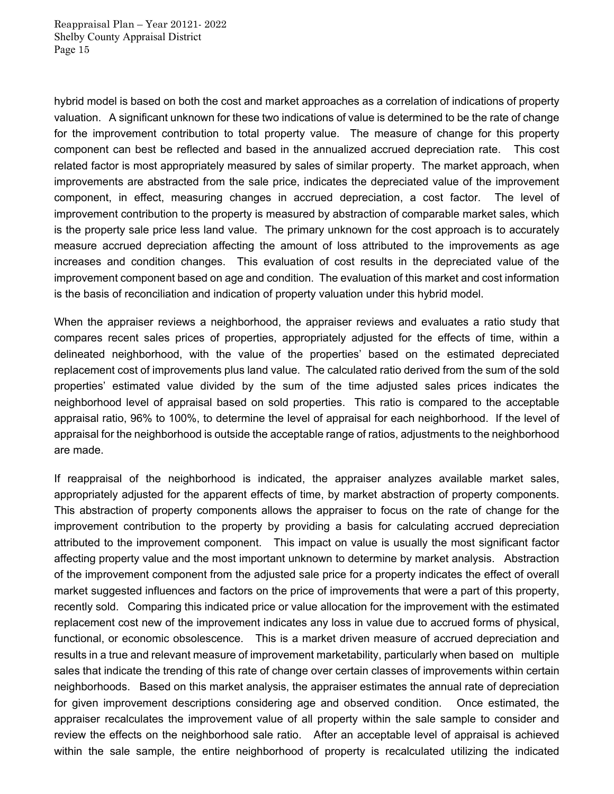hybrid model is based on both the cost and market approaches as a correlation of indications of property valuation. A significant unknown for these two indications of value is determined to be the rate of change for the improvement contribution to total property value. The measure of change for this property component can best be reflected and based in the annualized accrued depreciation rate. This cost related factor is most appropriately measured by sales of similar property. The market approach, when improvements are abstracted from the sale price, indicates the depreciated value of the improvement component, in effect, measuring changes in accrued depreciation, a cost factor. The level of improvement contribution to the property is measured by abstraction of comparable market sales, which is the property sale price less land value. The primary unknown for the cost approach is to accurately measure accrued depreciation affecting the amount of loss attributed to the improvements as age increases and condition changes. This evaluation of cost results in the depreciated value of the improvement component based on age and condition. The evaluation of this market and cost information is the basis of reconciliation and indication of property valuation under this hybrid model.

When the appraiser reviews a neighborhood, the appraiser reviews and evaluates a ratio study that compares recent sales prices of properties, appropriately adjusted for the effects of time, within a delineated neighborhood, with the value of the properties' based on the estimated depreciated replacement cost of improvements plus land value. The calculated ratio derived from the sum of the sold properties' estimated value divided by the sum of the time adjusted sales prices indicates the neighborhood level of appraisal based on sold properties. This ratio is compared to the acceptable appraisal ratio, 96% to 100%, to determine the level of appraisal for each neighborhood. If the level of appraisal for the neighborhood is outside the acceptable range of ratios, adjustments to the neighborhood are made.

If reappraisal of the neighborhood is indicated, the appraiser analyzes available market sales, appropriately adjusted for the apparent effects of time, by market abstraction of property components. This abstraction of property components allows the appraiser to focus on the rate of change for the improvement contribution to the property by providing a basis for calculating accrued depreciation attributed to the improvement component. This impact on value is usually the most significant factor affecting property value and the most important unknown to determine by market analysis. Abstraction of the improvement component from the adjusted sale price for a property indicates the effect of overall market suggested influences and factors on the price of improvements that were a part of this property, recently sold. Comparing this indicated price or value allocation for the improvement with the estimated replacement cost new of the improvement indicates any loss in value due to accrued forms of physical, functional, or economic obsolescence. This is a market driven measure of accrued depreciation and results in a true and relevant measure of improvement marketability, particularly when based on multiple sales that indicate the trending of this rate of change over certain classes of improvements within certain neighborhoods. Based on this market analysis, the appraiser estimates the annual rate of depreciation for given improvement descriptions considering age and observed condition. Once estimated, the appraiser recalculates the improvement value of all property within the sale sample to consider and review the effects on the neighborhood sale ratio. After an acceptable level of appraisal is achieved within the sale sample, the entire neighborhood of property is recalculated utilizing the indicated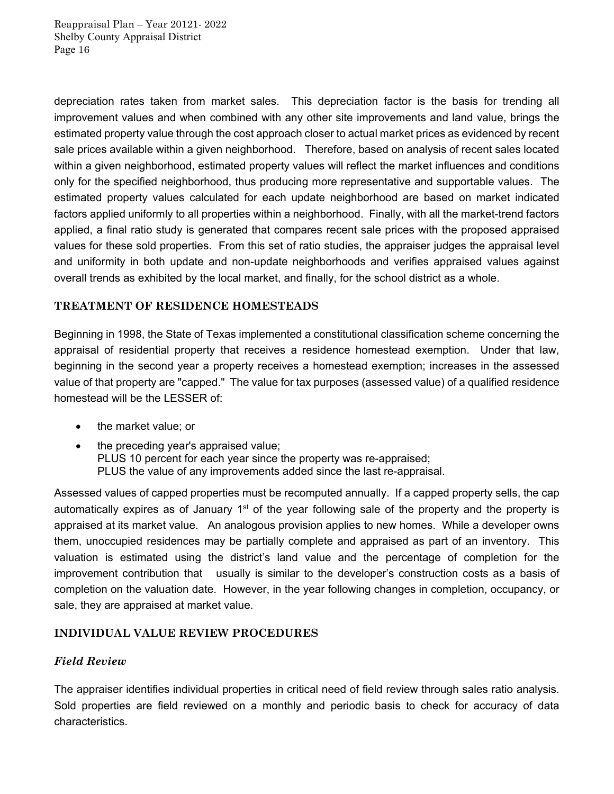depreciation rates taken from market sales. This depreciation factor is the basis for trending all improvement values and when combined with any other site improvements and land value, brings the estimated property value through the cost approach closer to actual market prices as evidenced by recent sale prices available within a given neighborhood. Therefore, based on analysis of recent sales located within a given neighborhood, estimated property values will reflect the market influences and conditions only for the specified neighborhood, thus producing more representative and supportable values. The estimated property values calculated for each update neighborhood are based on market indicated factors applied uniformly to all properties within a neighborhood. Finally, with all the market-trend factors applied, a final ratio study is generated that compares recent sale prices with the proposed appraised values for these sold properties. From this set of ratio studies, the appraiser judges the appraisal level and uniformity in both update and non-update neighborhoods and verifies appraised values against overall trends as exhibited by the local market, and finally, for the school district as a whole.

### **TREATMENT OF RESIDENCE HOMESTEADS**

Beginning in 1998, the State of Texas implemented a constitutional classification scheme concerning the appraisal of residential property that receives a residence homestead exemption. Under that law, beginning in the second year a property receives a homestead exemption; increases in the assessed value of that property are "capped." The value for tax purposes (assessed value) of a qualified residence homestead will be the LESSER of:

- the market value; or
- the preceding year's appraised value; PLUS 10 percent for each year since the property was re-appraised; PLUS the value of any improvements added since the last re-appraisal.

Assessed values of capped properties must be recomputed annually. If a capped property sells, the cap automatically expires as of January  $1<sup>st</sup>$  of the year following sale of the property and the property is appraised at its market value. An analogous provision applies to new homes. While a developer owns them, unoccupied residences may be partially complete and appraised as part of an inventory. This valuation is estimated using the district's land value and the percentage of completion for the improvement contribution that usually is similar to the developer's construction costs as a basis of completion on the valuation date. However, in the year following changes in completion, occupancy, or sale, they are appraised at market value.

### **INDIVIDUAL VALUE REVIEW PROCEDURES**

### *Field Review*

The appraiser identifies individual properties in critical need of field review through sales ratio analysis. Sold properties are field reviewed on a monthly and periodic basis to check for accuracy of data characteristics.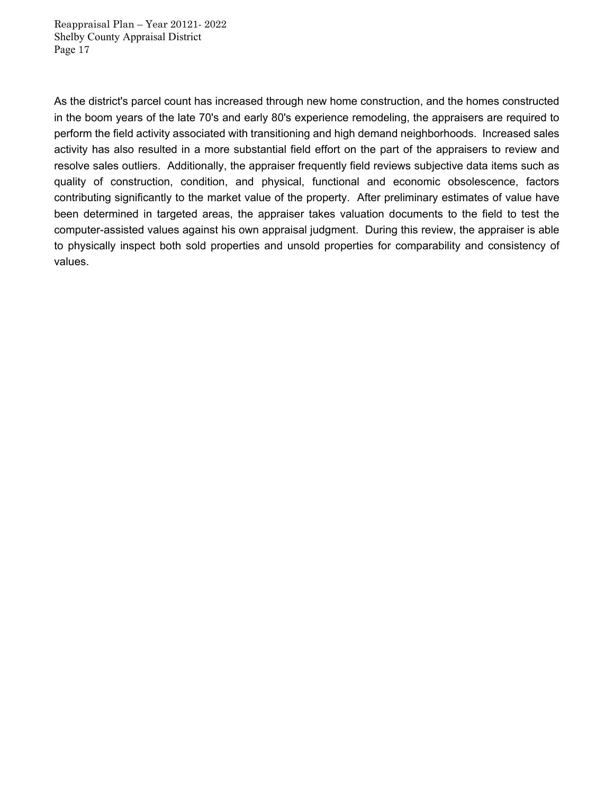As the district's parcel count has increased through new home construction, and the homes constructed in the boom years of the late 70's and early 80's experience remodeling, the appraisers are required to perform the field activity associated with transitioning and high demand neighborhoods. Increased sales activity has also resulted in a more substantial field effort on the part of the appraisers to review and resolve sales outliers. Additionally, the appraiser frequently field reviews subjective data items such as quality of construction, condition, and physical, functional and economic obsolescence, factors contributing significantly to the market value of the property. After preliminary estimates of value have been determined in targeted areas, the appraiser takes valuation documents to the field to test the computer-assisted values against his own appraisal judgment. During this review, the appraiser is able to physically inspect both sold properties and unsold properties for comparability and consistency of values.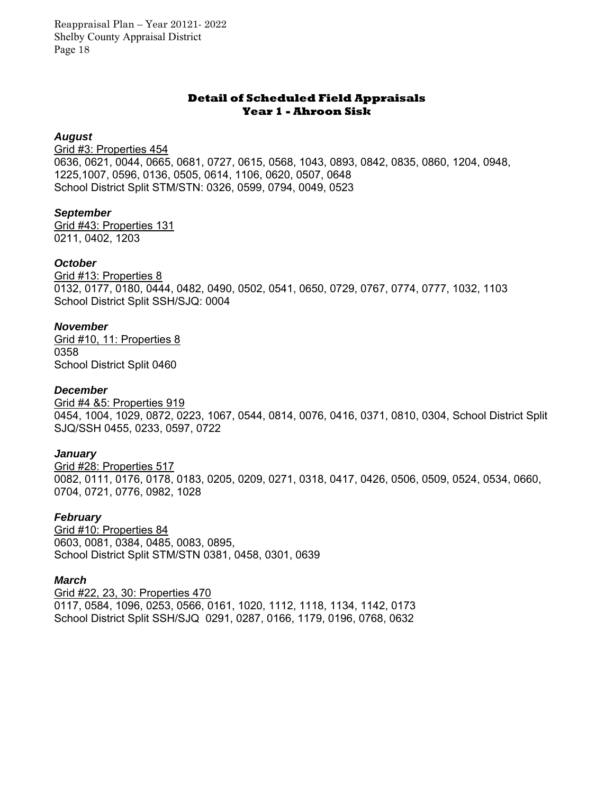#### **Detail of Scheduled Field Appraisals Year 1 - Ahroon Sisk**

#### *August*

Grid #3: Properties 454 0636, 0621, 0044, 0665, 0681, 0727, 0615, 0568, 1043, 0893, 0842, 0835, 0860, 1204, 0948, 1225,1007, 0596, 0136, 0505, 0614, 1106, 0620, 0507, 0648 School District Split STM/STN: 0326, 0599, 0794, 0049, 0523

#### *September*

Grid #43: Properties 131 0211, 0402, 1203

### *October*

Grid #13: Properties 8 0132, 0177, 0180, 0444, 0482, 0490, 0502, 0541, 0650, 0729, 0767, 0774, 0777, 1032, 1103 School District Split SSH/SJQ: 0004

### *November*

Grid #10, 11: Properties 8 0358 School District Split 0460

### *December*

Grid #4 &5: Properties 919 0454, 1004, 1029, 0872, 0223, 1067, 0544, 0814, 0076, 0416, 0371, 0810, 0304, School District Split SJQ/SSH 0455, 0233, 0597, 0722

### *January*

Grid #28: Properties 517 0082, 0111, 0176, 0178, 0183, 0205, 0209, 0271, 0318, 0417, 0426, 0506, 0509, 0524, 0534, 0660, 0704, 0721, 0776, 0982, 1028

#### *February*

Grid #10: Properties 84 0603, 0081, 0384, 0485, 0083, 0895, School District Split STM/STN 0381, 0458, 0301, 0639

#### *March*

Grid #22, 23, 30: Properties 470 0117, 0584, 1096, 0253, 0566, 0161, 1020, 1112, 1118, 1134, 1142, 0173 School District Split SSH/SJQ 0291, 0287, 0166, 1179, 0196, 0768, 0632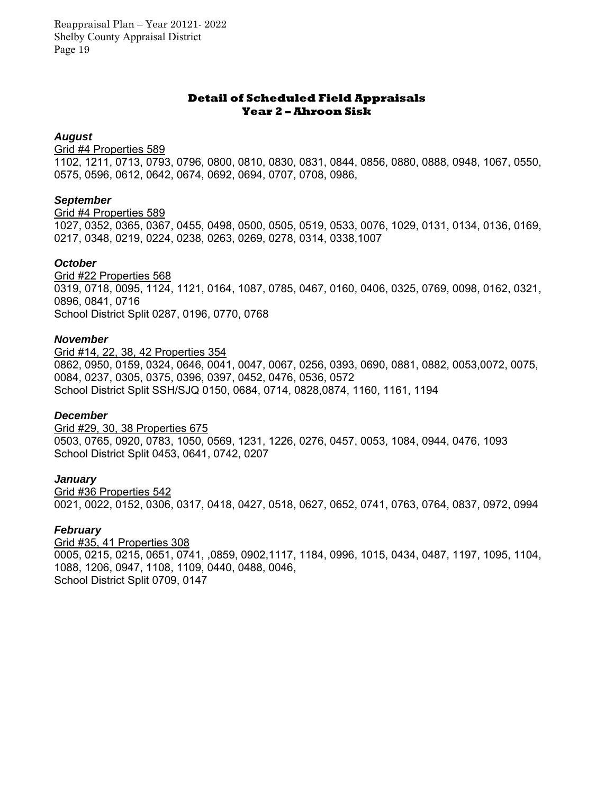#### **Detail of Scheduled Field Appraisals Year 2 – Ahroon Sisk**

#### *August*

Grid #4 Properties 589

1102, 1211, 0713, 0793, 0796, 0800, 0810, 0830, 0831, 0844, 0856, 0880, 0888, 0948, 1067, 0550, 0575, 0596, 0612, 0642, 0674, 0692, 0694, 0707, 0708, 0986,

#### *September*

#### Grid #4 Properties 589

1027, 0352, 0365, 0367, 0455, 0498, 0500, 0505, 0519, 0533, 0076, 1029, 0131, 0134, 0136, 0169, 0217, 0348, 0219, 0224, 0238, 0263, 0269, 0278, 0314, 0338,1007

#### *October*

Grid #22 Properties 568 0319, 0718, 0095, 1124, 1121, 0164, 1087, 0785, 0467, 0160, 0406, 0325, 0769, 0098, 0162, 0321, 0896, 0841, 0716 School District Split 0287, 0196, 0770, 0768

#### *November*

Grid #14, 22, 38, 42 Properties 354 0862, 0950, 0159, 0324, 0646, 0041, 0047, 0067, 0256, 0393, 0690, 0881, 0882, 0053,0072, 0075, 0084, 0237, 0305, 0375, 0396, 0397, 0452, 0476, 0536, 0572 School District Split SSH/SJQ 0150, 0684, 0714, 0828,0874, 1160, 1161, 1194

#### *December*

Grid #29, 30, 38 Properties 675 0503, 0765, 0920, 0783, 1050, 0569, 1231, 1226, 0276, 0457, 0053, 1084, 0944, 0476, 1093 School District Split 0453, 0641, 0742, 0207

#### *January*

Grid #36 Properties 542 0021, 0022, 0152, 0306, 0317, 0418, 0427, 0518, 0627, 0652, 0741, 0763, 0764, 0837, 0972, 0994

#### *February*

Grid #35, 41 Properties 308 0005, 0215, 0215, 0651, 0741, ,0859, 0902,1117, 1184, 0996, 1015, 0434, 0487, 1197, 1095, 1104, 1088, 1206, 0947, 1108, 1109, 0440, 0488, 0046, School District Split 0709, 0147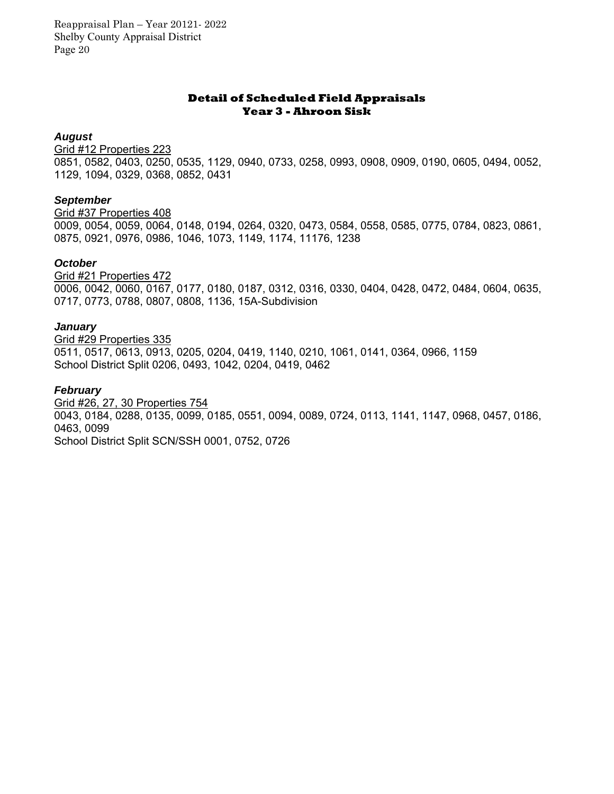#### **Detail of Scheduled Field Appraisals Year 3 - Ahroon Sisk**

#### *August*

Grid #12 Properties 223 0851, 0582, 0403, 0250, 0535, 1129, 0940, 0733, 0258, 0993, 0908, 0909, 0190, 0605, 0494, 0052, 1129, 1094, 0329, 0368, 0852, 0431

### *September*

Grid #37 Properties 408 0009, 0054, 0059, 0064, 0148, 0194, 0264, 0320, 0473, 0584, 0558, 0585, 0775, 0784, 0823, 0861, 0875, 0921, 0976, 0986, 1046, 1073, 1149, 1174, 11176, 1238

### *October*

Grid #21 Properties 472 0006, 0042, 0060, 0167, 0177, 0180, 0187, 0312, 0316, 0330, 0404, 0428, 0472, 0484, 0604, 0635, 0717, 0773, 0788, 0807, 0808, 1136, 15A-Subdivision

### *January*

Grid #29 Properties 335 0511, 0517, 0613, 0913, 0205, 0204, 0419, 1140, 0210, 1061, 0141, 0364, 0966, 1159 School District Split 0206, 0493, 1042, 0204, 0419, 0462

### *February*

Grid #26, 27, 30 Properties 754 0043, 0184, 0288, 0135, 0099, 0185, 0551, 0094, 0089, 0724, 0113, 1141, 1147, 0968, 0457, 0186, 0463, 0099 School District Split SCN/SSH 0001, 0752, 0726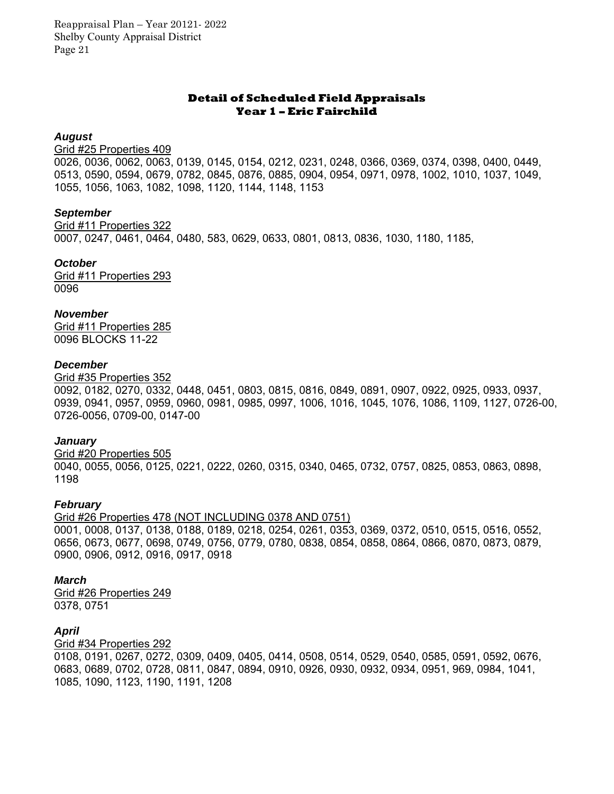#### **Detail of Scheduled Field Appraisals Year 1 – Eric Fairchild**

#### *August*

#### Grid #25 Properties 409

0026, 0036, 0062, 0063, 0139, 0145, 0154, 0212, 0231, 0248, 0366, 0369, 0374, 0398, 0400, 0449, 0513, 0590, 0594, 0679, 0782, 0845, 0876, 0885, 0904, 0954, 0971, 0978, 1002, 1010, 1037, 1049, 1055, 1056, 1063, 1082, 1098, 1120, 1144, 1148, 1153

#### *September*

Grid #11 Properties 322 0007, 0247, 0461, 0464, 0480, 583, 0629, 0633, 0801, 0813, 0836, 1030, 1180, 1185,

*October*  Grid #11 Properties 293

0096

#### *November*

Grid #11 Properties 285 0096 BLOCKS 11-22

#### *December*

Grid #35 Properties 352

0092, 0182, 0270, 0332, 0448, 0451, 0803, 0815, 0816, 0849, 0891, 0907, 0922, 0925, 0933, 0937, 0939, 0941, 0957, 0959, 0960, 0981, 0985, 0997, 1006, 1016, 1045, 1076, 1086, 1109, 1127, 0726-00, 0726-0056, 0709-00, 0147-00

#### *January*

Grid #20 Properties 505 0040, 0055, 0056, 0125, 0221, 0222, 0260, 0315, 0340, 0465, 0732, 0757, 0825, 0853, 0863, 0898, 1198

#### *February*

Grid #26 Properties 478 (NOT INCLUDING 0378 AND 0751) 0001, 0008, 0137, 0138, 0188, 0189, 0218, 0254, 0261, 0353, 0369, 0372, 0510, 0515, 0516, 0552, 0656, 0673, 0677, 0698, 0749, 0756, 0779, 0780, 0838, 0854, 0858, 0864, 0866, 0870, 0873, 0879, 0900, 0906, 0912, 0916, 0917, 0918

#### *March*

Grid #26 Properties 249 0378, 0751

#### *April*

#### Grid #34 Properties 292

0108, 0191, 0267, 0272, 0309, 0409, 0405, 0414, 0508, 0514, 0529, 0540, 0585, 0591, 0592, 0676, 0683, 0689, 0702, 0728, 0811, 0847, 0894, 0910, 0926, 0930, 0932, 0934, 0951, 969, 0984, 1041, 1085, 1090, 1123, 1190, 1191, 1208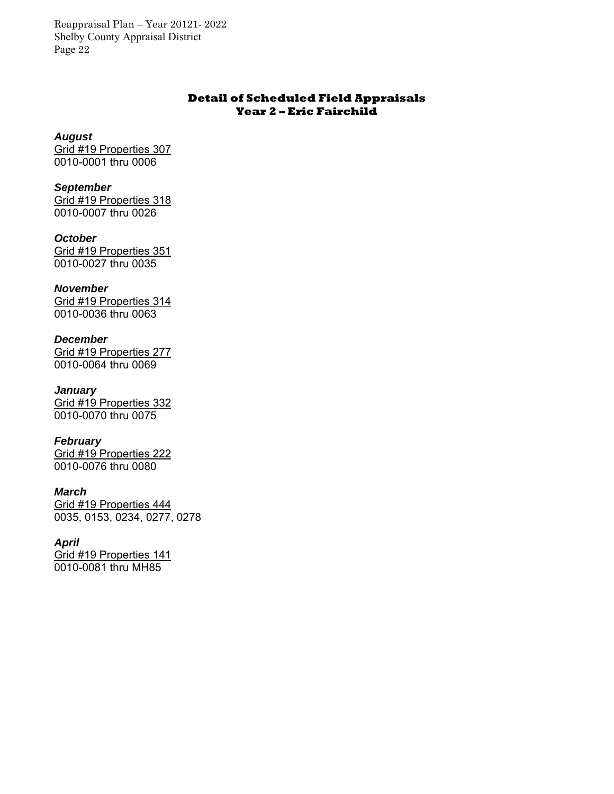### **Detail of Scheduled Field Appraisals Year 2 – Eric Fairchild**

*August* 

Grid #19 Properties 307 0010-0001 thru 0006

*September*  Grid #19 Properties 318 0010-0007 thru 0026

*October*  Grid #19 Properties 351 0010-0027 thru 0035

*November*  Grid #19 Properties 314 0010-0036 thru 0063

*December*  Grid #19 Properties 277 0010-0064 thru 0069

*January*  Grid #19 Properties 332 0010-0070 thru 0075

*February*  Grid #19 Properties 222 0010-0076 thru 0080

*March*  Grid #19 Properties 444 0035, 0153, 0234, 0277, 0278

*April*  Grid #19 Properties 141 0010-0081 thru MH85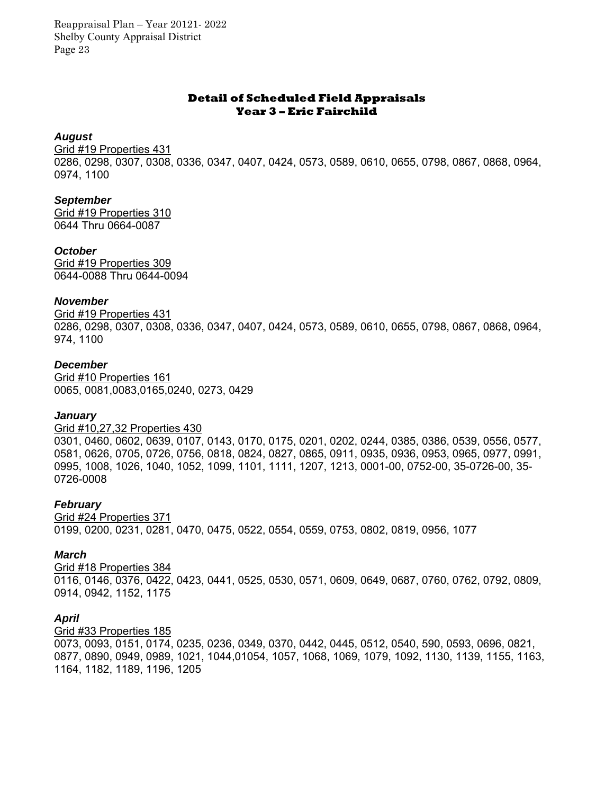#### **Detail of Scheduled Field Appraisals Year 3 – Eric Fairchild**

#### *August*

Grid #19 Properties 431 0286, 0298, 0307, 0308, 0336, 0347, 0407, 0424, 0573, 0589, 0610, 0655, 0798, 0867, 0868, 0964, 0974, 1100

### *September*

Grid #19 Properties 310 0644 Thru 0664-0087

#### *October*

Grid #19 Properties 309 0644-0088 Thru 0644-0094

#### *November*

Grid #19 Properties 431 0286, 0298, 0307, 0308, 0336, 0347, 0407, 0424, 0573, 0589, 0610, 0655, 0798, 0867, 0868, 0964, 974, 1100

#### *December*

Grid #10 Properties 161 0065, 0081,0083,0165,0240, 0273, 0429

#### *January*

#### Grid #10,27,32 Properties 430

0301, 0460, 0602, 0639, 0107, 0143, 0170, 0175, 0201, 0202, 0244, 0385, 0386, 0539, 0556, 0577, 0581, 0626, 0705, 0726, 0756, 0818, 0824, 0827, 0865, 0911, 0935, 0936, 0953, 0965, 0977, 0991, 0995, 1008, 1026, 1040, 1052, 1099, 1101, 1111, 1207, 1213, 0001-00, 0752-00, 35-0726-00, 35- 0726-0008

#### *February*

Grid #24 Properties 371 0199, 0200, 0231, 0281, 0470, 0475, 0522, 0554, 0559, 0753, 0802, 0819, 0956, 1077

#### *March*

Grid #18 Properties 384

0116, 0146, 0376, 0422, 0423, 0441, 0525, 0530, 0571, 0609, 0649, 0687, 0760, 0762, 0792, 0809, 0914, 0942, 1152, 1175

#### *April*

Grid #33 Properties 185

0073, 0093, 0151, 0174, 0235, 0236, 0349, 0370, 0442, 0445, 0512, 0540, 590, 0593, 0696, 0821, 0877, 0890, 0949, 0989, 1021, 1044,01054, 1057, 1068, 1069, 1079, 1092, 1130, 1139, 1155, 1163, 1164, 1182, 1189, 1196, 1205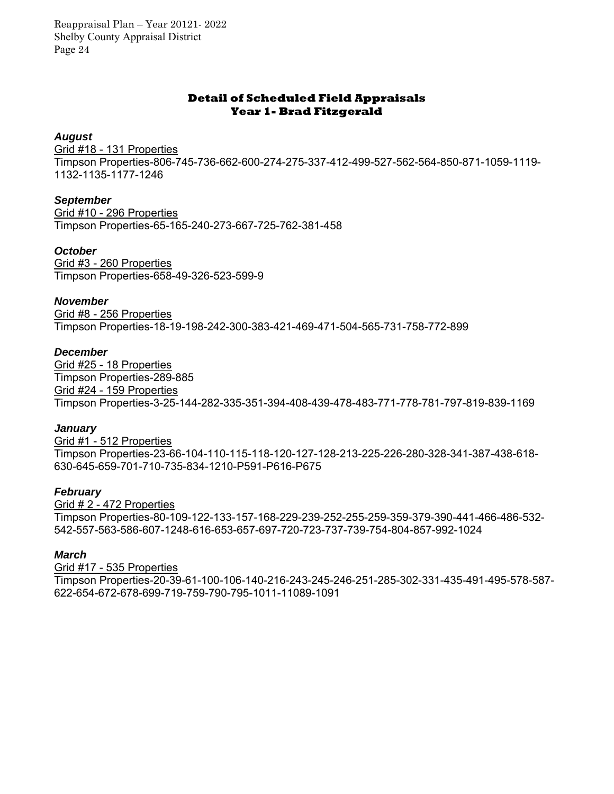### **Detail of Scheduled Field Appraisals Year 1- Brad Fitzgerald**

#### *August*

Grid #18 - 131 Properties Timpson Properties-806-745-736-662-600-274-275-337-412-499-527-562-564-850-871-1059-1119- 1132-1135-1177-1246

### *September*

Grid #10 - 296 Properties Timpson Properties-65-165-240-273-667-725-762-381-458

#### *October*

Grid #3 - 260 Properties Timpson Properties-658-49-326-523-599-9

#### *November*

Grid #8 - 256 Properties Timpson Properties-18-19-198-242-300-383-421-469-471-504-565-731-758-772-899

#### *December*

Grid #25 - 18 Properties Timpson Properties-289-885 Grid #24 - 159 Properties Timpson Properties-3-25-144-282-335-351-394-408-439-478-483-771-778-781-797-819-839-1169

#### *January*

Grid #1 - 512 Properties Timpson Properties-23-66-104-110-115-118-120-127-128-213-225-226-280-328-341-387-438-618- 630-645-659-701-710-735-834-1210-P591-P616-P675

#### *February*

Grid # 2 - 472 Properties Timpson Properties-80-109-122-133-157-168-229-239-252-255-259-359-379-390-441-466-486-532- 542-557-563-586-607-1248-616-653-657-697-720-723-737-739-754-804-857-992-1024

#### *March*

Grid #17 - 535 Properties Timpson Properties-20-39-61-100-106-140-216-243-245-246-251-285-302-331-435-491-495-578-587- 622-654-672-678-699-719-759-790-795-1011-11089-1091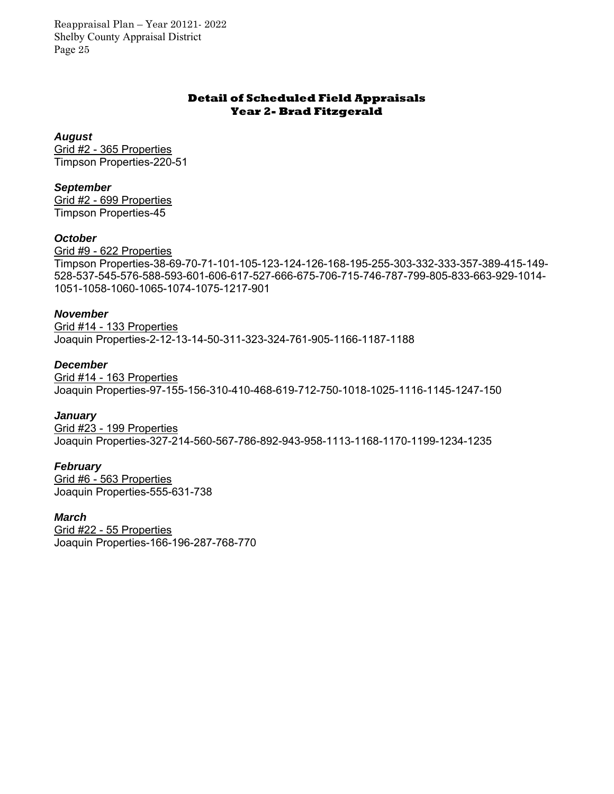### **Detail of Scheduled Field Appraisals Year 2- Brad Fitzgerald**

#### *August*

Grid #2 - 365 Properties Timpson Properties-220-51

### *September*

Grid #2 - 699 Properties Timpson Properties-45

### *October*

Grid #9 - 622 Properties Timpson Properties-38-69-70-71-101-105-123-124-126-168-195-255-303-332-333-357-389-415-149- 528-537-545-576-588-593-601-606-617-527-666-675-706-715-746-787-799-805-833-663-929-1014- 1051-1058-1060-1065-1074-1075-1217-901

### *November*

Grid #14 - 133 Properties Joaquin Properties-2-12-13-14-50-311-323-324-761-905-1166-1187-1188

### *December*

Grid #14 - 163 Properties Joaquin Properties-97-155-156-310-410-468-619-712-750-1018-1025-1116-1145-1247-150

#### *January*

Grid #23 - 199 Properties Joaquin Properties-327-214-560-567-786-892-943-958-1113-1168-1170-1199-1234-1235

#### *February*

Grid #6 - 563 Properties Joaquin Properties-555-631-738

#### *March*

Grid #22 - 55 Properties Joaquin Properties-166-196-287-768-770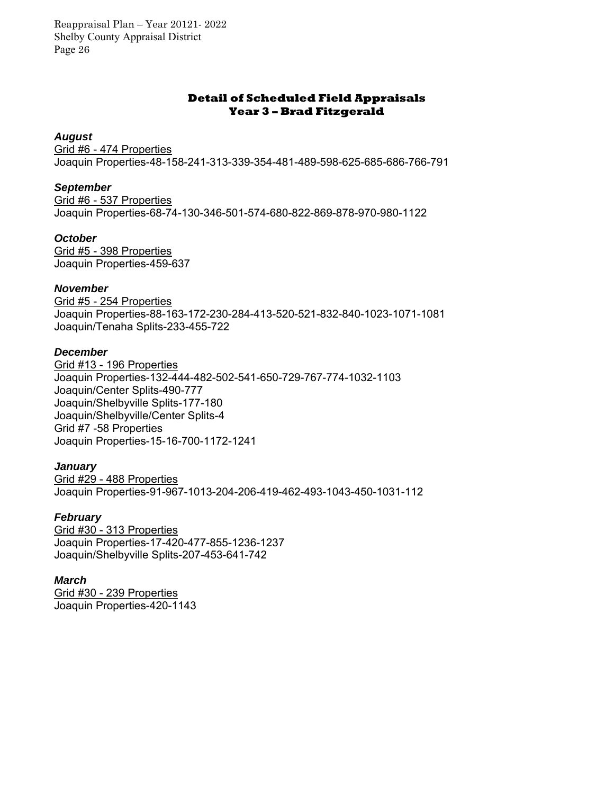### **Detail of Scheduled Field Appraisals Year 3 – Brad Fitzgerald**

#### *August*

Grid #6 - 474 Properties Joaquin Properties-48-158-241-313-339-354-481-489-598-625-685-686-766-791

#### *September*

Grid #6 - 537 Properties Joaquin Properties-68-74-130-346-501-574-680-822-869-878-970-980-1122

#### *October*

Grid #5 - 398 Properties Joaquin Properties-459-637

#### *November*

Grid #5 - 254 Properties Joaquin Properties-88-163-172-230-284-413-520-521-832-840-1023-1071-1081 Joaquin/Tenaha Splits-233-455-722

#### *December*

Grid #13 - 196 Properties Joaquin Properties-132-444-482-502-541-650-729-767-774-1032-1103 Joaquin/Center Splits-490-777 Joaquin/Shelbyville Splits-177-180 Joaquin/Shelbyville/Center Splits-4 Grid #7 -58 Properties Joaquin Properties-15-16-700-1172-1241

#### *January*

Grid #29 - 488 Properties Joaquin Properties-91-967-1013-204-206-419-462-493-1043-450-1031-112

#### *February*

Grid #30 - 313 Properties Joaquin Properties-17-420-477-855-1236-1237 Joaquin/Shelbyville Splits-207-453-641-742

#### *March*

Grid #30 - 239 Properties Joaquin Properties-420-1143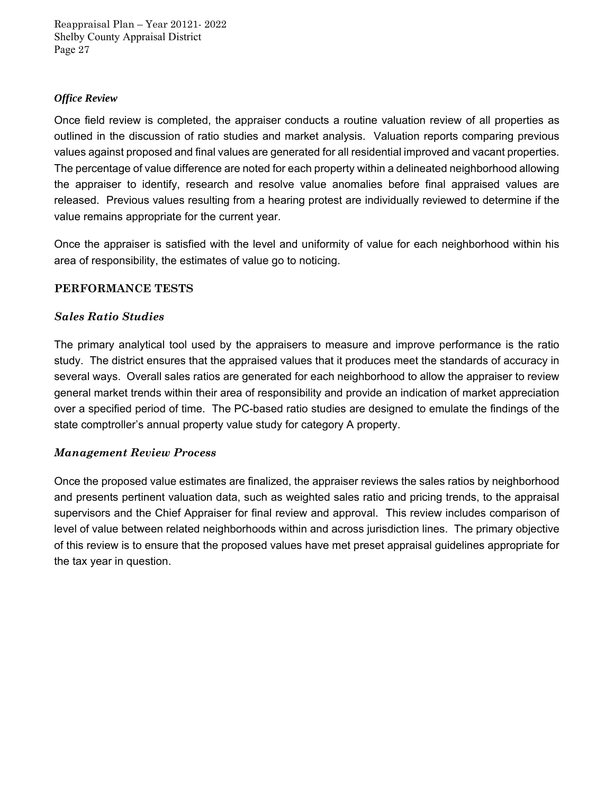### *Office Review*

Once field review is completed, the appraiser conducts a routine valuation review of all properties as outlined in the discussion of ratio studies and market analysis. Valuation reports comparing previous values against proposed and final values are generated for all residential improved and vacant properties. The percentage of value difference are noted for each property within a delineated neighborhood allowing the appraiser to identify, research and resolve value anomalies before final appraised values are released. Previous values resulting from a hearing protest are individually reviewed to determine if the value remains appropriate for the current year.

Once the appraiser is satisfied with the level and uniformity of value for each neighborhood within his area of responsibility, the estimates of value go to noticing.

### **PERFORMANCE TESTS**

### *Sales Ratio Studies*

The primary analytical tool used by the appraisers to measure and improve performance is the ratio study. The district ensures that the appraised values that it produces meet the standards of accuracy in several ways. Overall sales ratios are generated for each neighborhood to allow the appraiser to review general market trends within their area of responsibility and provide an indication of market appreciation over a specified period of time. The PC-based ratio studies are designed to emulate the findings of the state comptroller's annual property value study for category A property.

### *Management Review Process*

Once the proposed value estimates are finalized, the appraiser reviews the sales ratios by neighborhood and presents pertinent valuation data, such as weighted sales ratio and pricing trends, to the appraisal supervisors and the Chief Appraiser for final review and approval. This review includes comparison of level of value between related neighborhoods within and across jurisdiction lines. The primary objective of this review is to ensure that the proposed values have met preset appraisal guidelines appropriate for the tax year in question.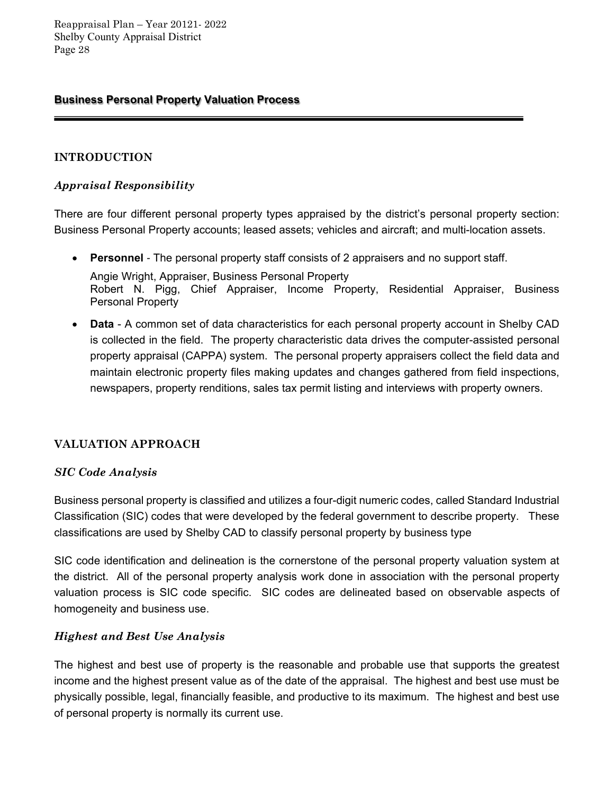### **Business Personal Property Valuation Process**

### **INTRODUCTION**

### *Appraisal Responsibility*

There are four different personal property types appraised by the district's personal property section: Business Personal Property accounts; leased assets; vehicles and aircraft; and multi-location assets.

**Personnel** *-* The personal property staff consists of 2 appraisers and no support staff.

Angie Wright, Appraiser, Business Personal Property Robert N. Pigg, Chief Appraiser, Income Property, Residential Appraiser, Business Personal Property

 **Data** - A common set of data characteristics for each personal property account in Shelby CAD is collected in the field. The property characteristic data drives the computer-assisted personal property appraisal (CAPPA) system. The personal property appraisers collect the field data and maintain electronic property files making updates and changes gathered from field inspections, newspapers, property renditions, sales tax permit listing and interviews with property owners.

### **VALUATION APPROACH**

### *SIC Code Analysis*

Business personal property is classified and utilizes a four-digit numeric codes, called Standard Industrial Classification (SIC) codes that were developed by the federal government to describe property. These classifications are used by Shelby CAD to classify personal property by business type

SIC code identification and delineation is the cornerstone of the personal property valuation system at the district. All of the personal property analysis work done in association with the personal property valuation process is SIC code specific. SIC codes are delineated based on observable aspects of homogeneity and business use.

### *Highest and Best Use Analysis*

The highest and best use of property is the reasonable and probable use that supports the greatest income and the highest present value as of the date of the appraisal. The highest and best use must be physically possible, legal, financially feasible, and productive to its maximum. The highest and best use of personal property is normally its current use.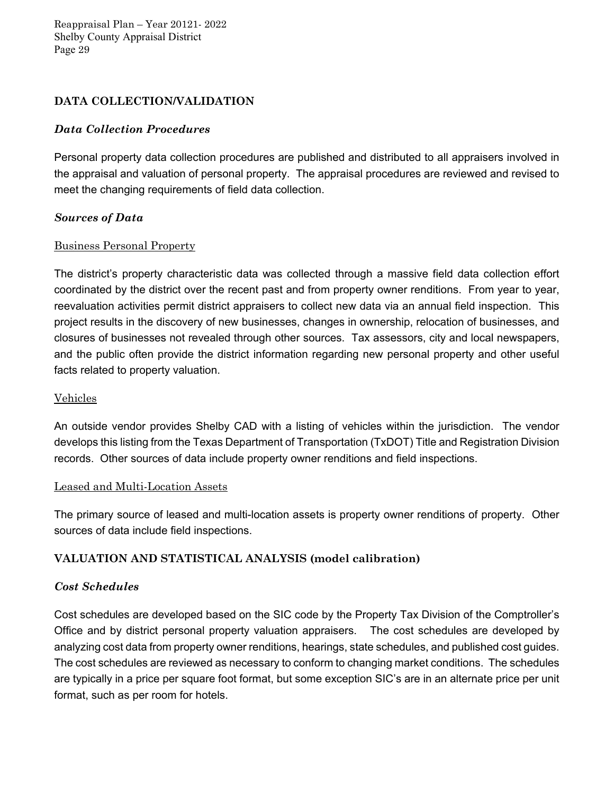### **DATA COLLECTION/VALIDATION**

### *Data Collection Procedures*

Personal property data collection procedures are published and distributed to all appraisers involved in the appraisal and valuation of personal property. The appraisal procedures are reviewed and revised to meet the changing requirements of field data collection.

### *Sources of Data*

### Business Personal Property

The district's property characteristic data was collected through a massive field data collection effort coordinated by the district over the recent past and from property owner renditions. From year to year, reevaluation activities permit district appraisers to collect new data via an annual field inspection. This project results in the discovery of new businesses, changes in ownership, relocation of businesses, and closures of businesses not revealed through other sources. Tax assessors, city and local newspapers, and the public often provide the district information regarding new personal property and other useful facts related to property valuation.

### Vehicles

An outside vendor provides Shelby CAD with a listing of vehicles within the jurisdiction. The vendor develops this listing from the Texas Department of Transportation (TxDOT) Title and Registration Division records. Other sources of data include property owner renditions and field inspections.

### Leased and Multi-Location Assets

The primary source of leased and multi-location assets is property owner renditions of property. Other sources of data include field inspections.

### **VALUATION AND STATISTICAL ANALYSIS (model calibration)**

### *Cost Schedules*

Cost schedules are developed based on the SIC code by the Property Tax Division of the Comptroller's Office and by district personal property valuation appraisers. The cost schedules are developed by analyzing cost data from property owner renditions, hearings, state schedules, and published cost guides. The cost schedules are reviewed as necessary to conform to changing market conditions. The schedules are typically in a price per square foot format, but some exception SIC's are in an alternate price per unit format, such as per room for hotels.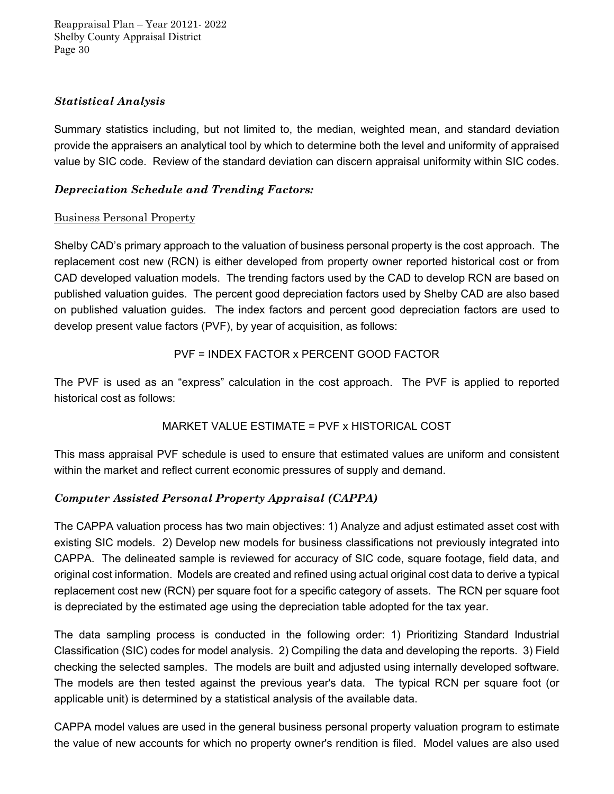### *Statistical Analysis*

Summary statistics including, but not limited to, the median, weighted mean, and standard deviation provide the appraisers an analytical tool by which to determine both the level and uniformity of appraised value by SIC code. Review of the standard deviation can discern appraisal uniformity within SIC codes.

# *Depreciation Schedule and Trending Factors:*

# Business Personal Property

Shelby CAD's primary approach to the valuation of business personal property is the cost approach. The replacement cost new (RCN) is either developed from property owner reported historical cost or from CAD developed valuation models. The trending factors used by the CAD to develop RCN are based on published valuation guides. The percent good depreciation factors used by Shelby CAD are also based on published valuation guides. The index factors and percent good depreciation factors are used to develop present value factors (PVF), by year of acquisition, as follows:

# PVF = INDEX FACTOR x PERCENT GOOD FACTOR

The PVF is used as an "express" calculation in the cost approach. The PVF is applied to reported historical cost as follows:

# MARKET VALUE ESTIMATE = PVF x HISTORICAL COST

This mass appraisal PVF schedule is used to ensure that estimated values are uniform and consistent within the market and reflect current economic pressures of supply and demand.

# *Computer Assisted Personal Property Appraisal (CAPPA)*

The CAPPA valuation process has two main objectives: 1) Analyze and adjust estimated asset cost with existing SIC models. 2) Develop new models for business classifications not previously integrated into CAPPA. The delineated sample is reviewed for accuracy of SIC code, square footage, field data, and original cost information. Models are created and refined using actual original cost data to derive a typical replacement cost new (RCN) per square foot for a specific category of assets. The RCN per square foot is depreciated by the estimated age using the depreciation table adopted for the tax year.

The data sampling process is conducted in the following order: 1) Prioritizing Standard Industrial Classification (SIC) codes for model analysis. 2) Compiling the data and developing the reports. 3) Field checking the selected samples. The models are built and adjusted using internally developed software. The models are then tested against the previous year's data. The typical RCN per square foot (or applicable unit) is determined by a statistical analysis of the available data.

CAPPA model values are used in the general business personal property valuation program to estimate the value of new accounts for which no property owner's rendition is filed. Model values are also used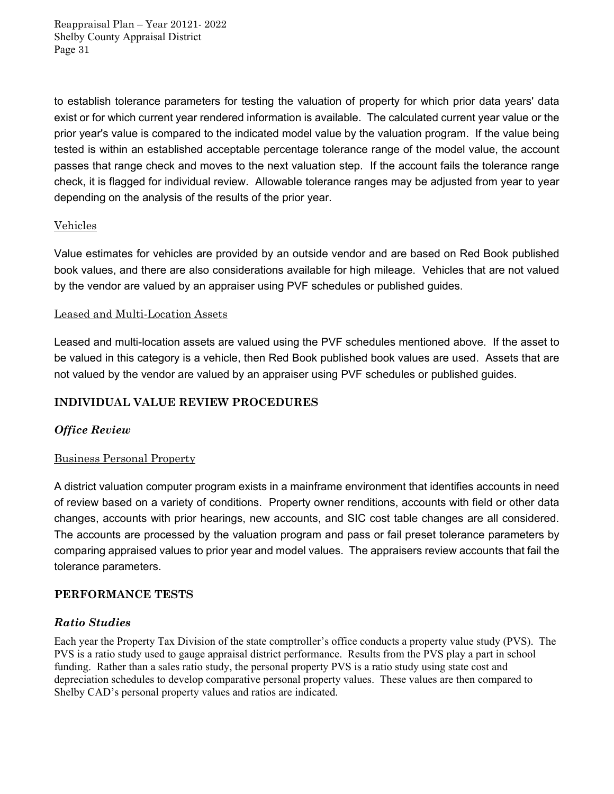to establish tolerance parameters for testing the valuation of property for which prior data years' data exist or for which current year rendered information is available. The calculated current year value or the prior year's value is compared to the indicated model value by the valuation program. If the value being tested is within an established acceptable percentage tolerance range of the model value, the account passes that range check and moves to the next valuation step. If the account fails the tolerance range check, it is flagged for individual review. Allowable tolerance ranges may be adjusted from year to year depending on the analysis of the results of the prior year.

### Vehicles

Value estimates for vehicles are provided by an outside vendor and are based on Red Book published book values, and there are also considerations available for high mileage. Vehicles that are not valued by the vendor are valued by an appraiser using PVF schedules or published guides.

### Leased and Multi-Location Assets

Leased and multi-location assets are valued using the PVF schedules mentioned above. If the asset to be valued in this category is a vehicle, then Red Book published book values are used. Assets that are not valued by the vendor are valued by an appraiser using PVF schedules or published guides.

### **INDIVIDUAL VALUE REVIEW PROCEDURES**

### *Office Review*

### Business Personal Property

A district valuation computer program exists in a mainframe environment that identifies accounts in need of review based on a variety of conditions. Property owner renditions, accounts with field or other data changes, accounts with prior hearings, new accounts, and SIC cost table changes are all considered. The accounts are processed by the valuation program and pass or fail preset tolerance parameters by comparing appraised values to prior year and model values. The appraisers review accounts that fail the tolerance parameters.

### **PERFORMANCE TESTS**

### *Ratio Studies*

Each year the Property Tax Division of the state comptroller's office conducts a property value study (PVS). The PVS is a ratio study used to gauge appraisal district performance. Results from the PVS play a part in school funding. Rather than a sales ratio study, the personal property PVS is a ratio study using state cost and depreciation schedules to develop comparative personal property values. These values are then compared to Shelby CAD's personal property values and ratios are indicated.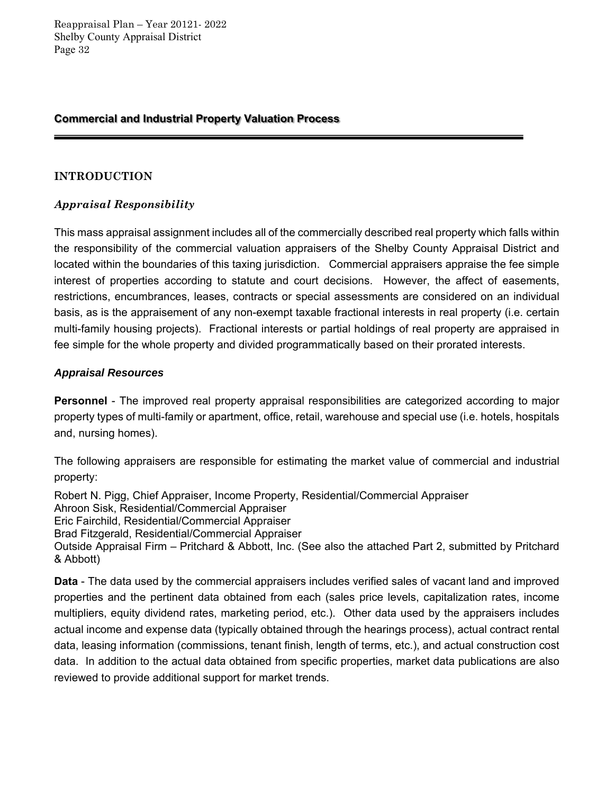### **Commercial and Industrial Property Valuation Process**

### **INTRODUCTION**

### *Appraisal Responsibility*

This mass appraisal assignment includes all of the commercially described real property which falls within the responsibility of the commercial valuation appraisers of the Shelby County Appraisal District and located within the boundaries of this taxing jurisdiction. Commercial appraisers appraise the fee simple interest of properties according to statute and court decisions. However, the affect of easements, restrictions, encumbrances, leases, contracts or special assessments are considered on an individual basis, as is the appraisement of any non-exempt taxable fractional interests in real property (i.e. certain multi-family housing projects). Fractional interests or partial holdings of real property are appraised in fee simple for the whole property and divided programmatically based on their prorated interests.

### *Appraisal Resources*

**Personnel** - The improved real property appraisal responsibilities are categorized according to major property types of multi-family or apartment, office, retail, warehouse and special use (i.e. hotels, hospitals and, nursing homes).

The following appraisers are responsible for estimating the market value of commercial and industrial property:

Robert N. Pigg, Chief Appraiser, Income Property, Residential/Commercial Appraiser

Ahroon Sisk, Residential/Commercial Appraiser

Eric Fairchild, Residential/Commercial Appraiser

Brad Fitzgerald, Residential/Commercial Appraiser

Outside Appraisal Firm – Pritchard & Abbott, Inc. (See also the attached Part 2, submitted by Pritchard & Abbott)

**Data** - The data used by the commercial appraisers includes verified sales of vacant land and improved properties and the pertinent data obtained from each (sales price levels, capitalization rates, income multipliers, equity dividend rates, marketing period, etc.). Other data used by the appraisers includes actual income and expense data (typically obtained through the hearings process), actual contract rental data, leasing information (commissions, tenant finish, length of terms, etc.), and actual construction cost data. In addition to the actual data obtained from specific properties, market data publications are also reviewed to provide additional support for market trends.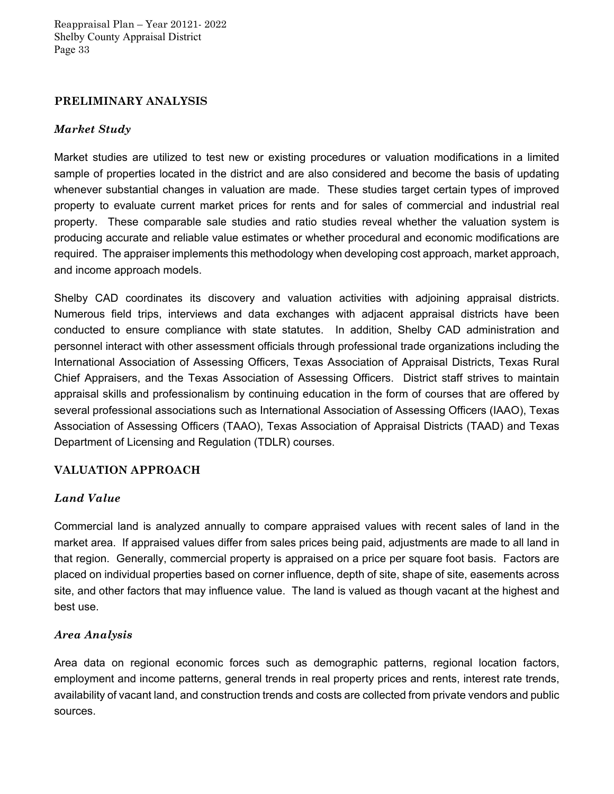### **PRELIMINARY ANALYSIS**

### *Market Study*

Market studies are utilized to test new or existing procedures or valuation modifications in a limited sample of properties located in the district and are also considered and become the basis of updating whenever substantial changes in valuation are made. These studies target certain types of improved property to evaluate current market prices for rents and for sales of commercial and industrial real property. These comparable sale studies and ratio studies reveal whether the valuation system is producing accurate and reliable value estimates or whether procedural and economic modifications are required. The appraiser implements this methodology when developing cost approach, market approach, and income approach models.

Shelby CAD coordinates its discovery and valuation activities with adjoining appraisal districts. Numerous field trips, interviews and data exchanges with adjacent appraisal districts have been conducted to ensure compliance with state statutes. In addition, Shelby CAD administration and personnel interact with other assessment officials through professional trade organizations including the International Association of Assessing Officers, Texas Association of Appraisal Districts, Texas Rural Chief Appraisers, and the Texas Association of Assessing Officers. District staff strives to maintain appraisal skills and professionalism by continuing education in the form of courses that are offered by several professional associations such as International Association of Assessing Officers (IAAO), Texas Association of Assessing Officers (TAAO), Texas Association of Appraisal Districts (TAAD) and Texas Department of Licensing and Regulation (TDLR) courses.

### **VALUATION APPROACH**

### *Land Value*

Commercial land is analyzed annually to compare appraised values with recent sales of land in the market area. If appraised values differ from sales prices being paid, adjustments are made to all land in that region. Generally, commercial property is appraised on a price per square foot basis. Factors are placed on individual properties based on corner influence, depth of site, shape of site, easements across site, and other factors that may influence value. The land is valued as though vacant at the highest and best use.

### *Area Analysis*

Area data on regional economic forces such as demographic patterns, regional location factors, employment and income patterns, general trends in real property prices and rents, interest rate trends, availability of vacant land, and construction trends and costs are collected from private vendors and public sources.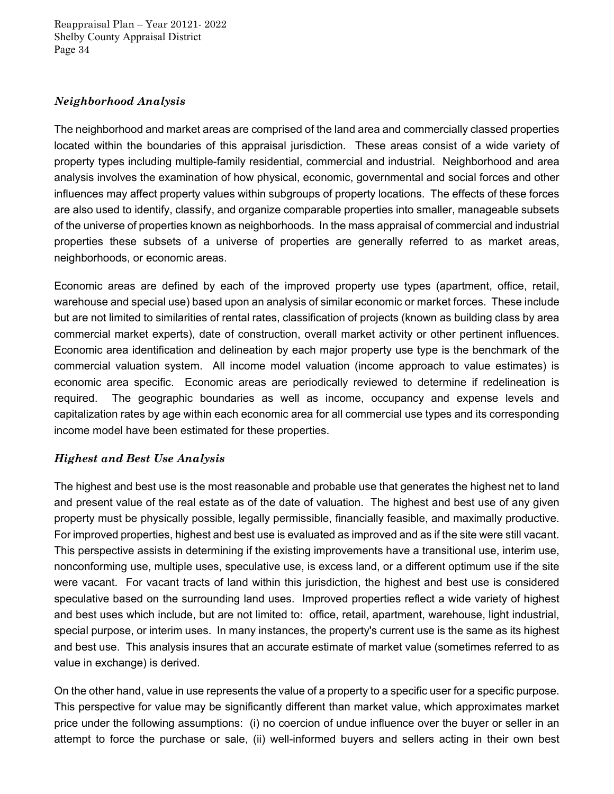### *Neighborhood Analysis*

The neighborhood and market areas are comprised of the land area and commercially classed properties located within the boundaries of this appraisal jurisdiction. These areas consist of a wide variety of property types including multiple-family residential, commercial and industrial. Neighborhood and area analysis involves the examination of how physical, economic, governmental and social forces and other influences may affect property values within subgroups of property locations. The effects of these forces are also used to identify, classify, and organize comparable properties into smaller, manageable subsets of the universe of properties known as neighborhoods. In the mass appraisal of commercial and industrial properties these subsets of a universe of properties are generally referred to as market areas, neighborhoods, or economic areas.

Economic areas are defined by each of the improved property use types (apartment, office, retail, warehouse and special use) based upon an analysis of similar economic or market forces. These include but are not limited to similarities of rental rates, classification of projects (known as building class by area commercial market experts), date of construction, overall market activity or other pertinent influences. Economic area identification and delineation by each major property use type is the benchmark of the commercial valuation system. All income model valuation (income approach to value estimates) is economic area specific. Economic areas are periodically reviewed to determine if redelineation is required. The geographic boundaries as well as income, occupancy and expense levels and capitalization rates by age within each economic area for all commercial use types and its corresponding income model have been estimated for these properties.

### *Highest and Best Use Analysis*

The highest and best use is the most reasonable and probable use that generates the highest net to land and present value of the real estate as of the date of valuation. The highest and best use of any given property must be physically possible, legally permissible, financially feasible, and maximally productive. For improved properties, highest and best use is evaluated as improved and as if the site were still vacant. This perspective assists in determining if the existing improvements have a transitional use, interim use, nonconforming use, multiple uses, speculative use, is excess land, or a different optimum use if the site were vacant. For vacant tracts of land within this jurisdiction, the highest and best use is considered speculative based on the surrounding land uses. Improved properties reflect a wide variety of highest and best uses which include, but are not limited to: office, retail, apartment, warehouse, light industrial, special purpose, or interim uses. In many instances, the property's current use is the same as its highest and best use. This analysis insures that an accurate estimate of market value (sometimes referred to as value in exchange) is derived.

On the other hand, value in use represents the value of a property to a specific user for a specific purpose. This perspective for value may be significantly different than market value, which approximates market price under the following assumptions: (i) no coercion of undue influence over the buyer or seller in an attempt to force the purchase or sale, (ii) well-informed buyers and sellers acting in their own best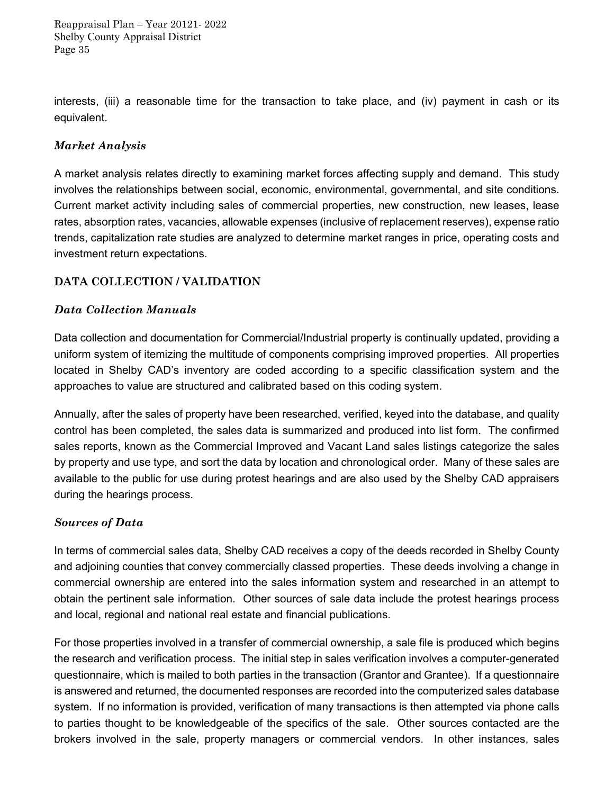interests, (iii) a reasonable time for the transaction to take place, and (iv) payment in cash or its equivalent.

### *Market Analysis*

A market analysis relates directly to examining market forces affecting supply and demand. This study involves the relationships between social, economic, environmental, governmental, and site conditions. Current market activity including sales of commercial properties, new construction, new leases, lease rates, absorption rates, vacancies, allowable expenses (inclusive of replacement reserves), expense ratio trends, capitalization rate studies are analyzed to determine market ranges in price, operating costs and investment return expectations.

### **DATA COLLECTION / VALIDATION**

### *Data Collection Manuals*

Data collection and documentation for Commercial/Industrial property is continually updated, providing a uniform system of itemizing the multitude of components comprising improved properties. All properties located in Shelby CAD's inventory are coded according to a specific classification system and the approaches to value are structured and calibrated based on this coding system.

Annually, after the sales of property have been researched, verified, keyed into the database, and quality control has been completed, the sales data is summarized and produced into list form. The confirmed sales reports, known as the Commercial Improved and Vacant Land sales listings categorize the sales by property and use type, and sort the data by location and chronological order. Many of these sales are available to the public for use during protest hearings and are also used by the Shelby CAD appraisers during the hearings process.

### *Sources of Data*

In terms of commercial sales data, Shelby CAD receives a copy of the deeds recorded in Shelby County and adjoining counties that convey commercially classed properties. These deeds involving a change in commercial ownership are entered into the sales information system and researched in an attempt to obtain the pertinent sale information. Other sources of sale data include the protest hearings process and local, regional and national real estate and financial publications.

For those properties involved in a transfer of commercial ownership, a sale file is produced which begins the research and verification process. The initial step in sales verification involves a computer-generated questionnaire, which is mailed to both parties in the transaction (Grantor and Grantee). If a questionnaire is answered and returned, the documented responses are recorded into the computerized sales database system. If no information is provided, verification of many transactions is then attempted via phone calls to parties thought to be knowledgeable of the specifics of the sale. Other sources contacted are the brokers involved in the sale, property managers or commercial vendors. In other instances, sales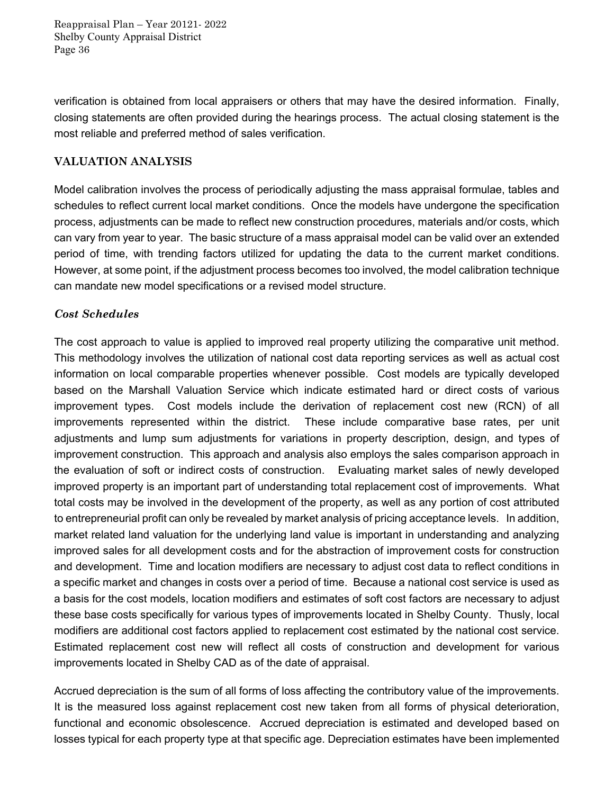verification is obtained from local appraisers or others that may have the desired information. Finally, closing statements are often provided during the hearings process. The actual closing statement is the most reliable and preferred method of sales verification.

### **VALUATION ANALYSIS**

Model calibration involves the process of periodically adjusting the mass appraisal formulae, tables and schedules to reflect current local market conditions. Once the models have undergone the specification process, adjustments can be made to reflect new construction procedures, materials and/or costs, which can vary from year to year. The basic structure of a mass appraisal model can be valid over an extended period of time, with trending factors utilized for updating the data to the current market conditions. However, at some point, if the adjustment process becomes too involved, the model calibration technique can mandate new model specifications or a revised model structure.

### *Cost Schedules*

The cost approach to value is applied to improved real property utilizing the comparative unit method. This methodology involves the utilization of national cost data reporting services as well as actual cost information on local comparable properties whenever possible. Cost models are typically developed based on the Marshall Valuation Service which indicate estimated hard or direct costs of various improvement types. Cost models include the derivation of replacement cost new (RCN) of all improvements represented within the district. These include comparative base rates, per unit adjustments and lump sum adjustments for variations in property description, design, and types of improvement construction. This approach and analysis also employs the sales comparison approach in the evaluation of soft or indirect costs of construction. Evaluating market sales of newly developed improved property is an important part of understanding total replacement cost of improvements. What total costs may be involved in the development of the property, as well as any portion of cost attributed to entrepreneurial profit can only be revealed by market analysis of pricing acceptance levels. In addition, market related land valuation for the underlying land value is important in understanding and analyzing improved sales for all development costs and for the abstraction of improvement costs for construction and development. Time and location modifiers are necessary to adjust cost data to reflect conditions in a specific market and changes in costs over a period of time. Because a national cost service is used as a basis for the cost models, location modifiers and estimates of soft cost factors are necessary to adjust these base costs specifically for various types of improvements located in Shelby County. Thusly, local modifiers are additional cost factors applied to replacement cost estimated by the national cost service. Estimated replacement cost new will reflect all costs of construction and development for various improvements located in Shelby CAD as of the date of appraisal.

Accrued depreciation is the sum of all forms of loss affecting the contributory value of the improvements. It is the measured loss against replacement cost new taken from all forms of physical deterioration, functional and economic obsolescence. Accrued depreciation is estimated and developed based on losses typical for each property type at that specific age. Depreciation estimates have been implemented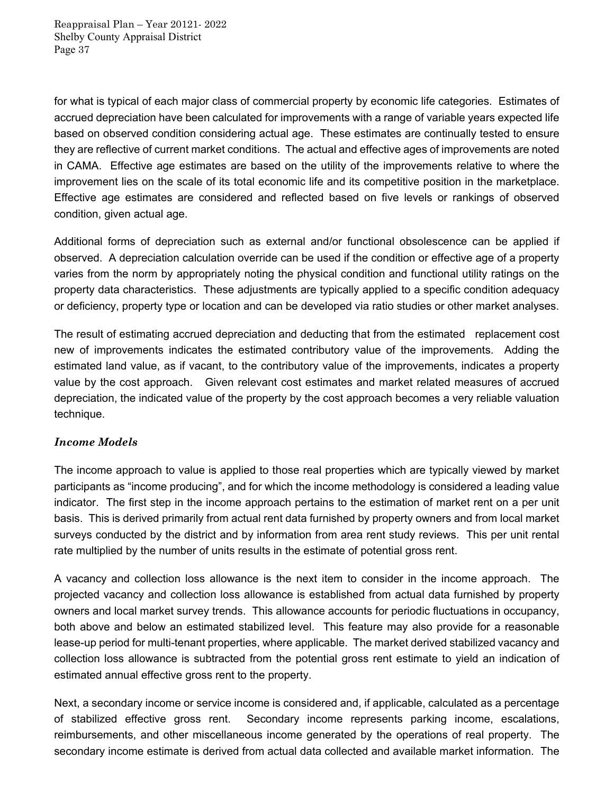for what is typical of each major class of commercial property by economic life categories. Estimates of accrued depreciation have been calculated for improvements with a range of variable years expected life based on observed condition considering actual age. These estimates are continually tested to ensure they are reflective of current market conditions. The actual and effective ages of improvements are noted in CAMA. Effective age estimates are based on the utility of the improvements relative to where the improvement lies on the scale of its total economic life and its competitive position in the marketplace. Effective age estimates are considered and reflected based on five levels or rankings of observed condition, given actual age.

Additional forms of depreciation such as external and/or functional obsolescence can be applied if observed. A depreciation calculation override can be used if the condition or effective age of a property varies from the norm by appropriately noting the physical condition and functional utility ratings on the property data characteristics. These adjustments are typically applied to a specific condition adequacy or deficiency, property type or location and can be developed via ratio studies or other market analyses.

The result of estimating accrued depreciation and deducting that from the estimated replacement cost new of improvements indicates the estimated contributory value of the improvements. Adding the estimated land value, as if vacant, to the contributory value of the improvements, indicates a property value by the cost approach. Given relevant cost estimates and market related measures of accrued depreciation, the indicated value of the property by the cost approach becomes a very reliable valuation technique.

### *Income Models*

The income approach to value is applied to those real properties which are typically viewed by market participants as "income producing", and for which the income methodology is considered a leading value indicator. The first step in the income approach pertains to the estimation of market rent on a per unit basis. This is derived primarily from actual rent data furnished by property owners and from local market surveys conducted by the district and by information from area rent study reviews. This per unit rental rate multiplied by the number of units results in the estimate of potential gross rent.

A vacancy and collection loss allowance is the next item to consider in the income approach. The projected vacancy and collection loss allowance is established from actual data furnished by property owners and local market survey trends. This allowance accounts for periodic fluctuations in occupancy, both above and below an estimated stabilized level. This feature may also provide for a reasonable lease-up period for multi-tenant properties, where applicable. The market derived stabilized vacancy and collection loss allowance is subtracted from the potential gross rent estimate to yield an indication of estimated annual effective gross rent to the property.

Next, a secondary income or service income is considered and, if applicable, calculated as a percentage of stabilized effective gross rent. Secondary income represents parking income, escalations, reimbursements, and other miscellaneous income generated by the operations of real property. The secondary income estimate is derived from actual data collected and available market information. The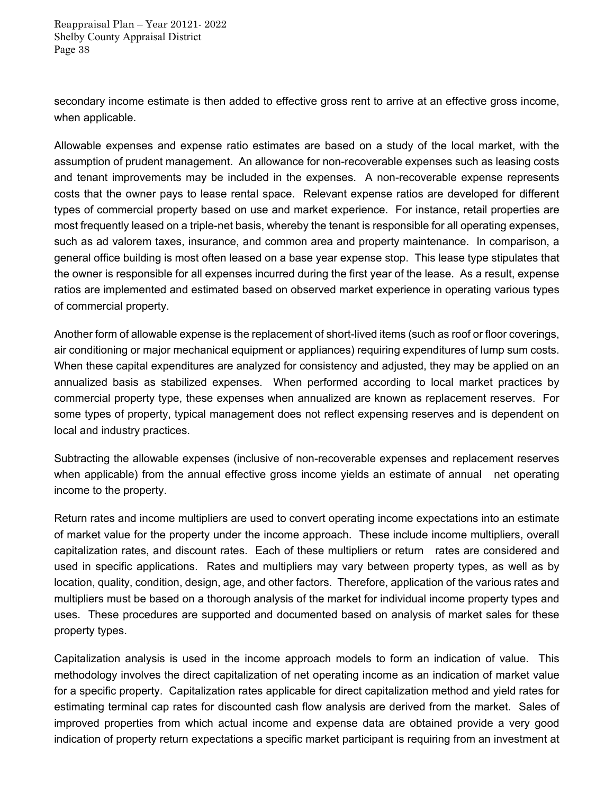secondary income estimate is then added to effective gross rent to arrive at an effective gross income, when applicable.

Allowable expenses and expense ratio estimates are based on a study of the local market, with the assumption of prudent management. An allowance for non-recoverable expenses such as leasing costs and tenant improvements may be included in the expenses. A non-recoverable expense represents costs that the owner pays to lease rental space. Relevant expense ratios are developed for different types of commercial property based on use and market experience. For instance, retail properties are most frequently leased on a triple-net basis, whereby the tenant is responsible for all operating expenses, such as ad valorem taxes, insurance, and common area and property maintenance. In comparison, a general office building is most often leased on a base year expense stop. This lease type stipulates that the owner is responsible for all expenses incurred during the first year of the lease. As a result, expense ratios are implemented and estimated based on observed market experience in operating various types of commercial property.

Another form of allowable expense is the replacement of short-lived items (such as roof or floor coverings, air conditioning or major mechanical equipment or appliances) requiring expenditures of lump sum costs. When these capital expenditures are analyzed for consistency and adjusted, they may be applied on an annualized basis as stabilized expenses. When performed according to local market practices by commercial property type, these expenses when annualized are known as replacement reserves. For some types of property, typical management does not reflect expensing reserves and is dependent on local and industry practices.

Subtracting the allowable expenses (inclusive of non-recoverable expenses and replacement reserves when applicable) from the annual effective gross income yields an estimate of annual net operating income to the property.

Return rates and income multipliers are used to convert operating income expectations into an estimate of market value for the property under the income approach. These include income multipliers, overall capitalization rates, and discount rates. Each of these multipliers or return rates are considered and used in specific applications. Rates and multipliers may vary between property types, as well as by location, quality, condition, design, age, and other factors. Therefore, application of the various rates and multipliers must be based on a thorough analysis of the market for individual income property types and uses. These procedures are supported and documented based on analysis of market sales for these property types.

Capitalization analysis is used in the income approach models to form an indication of value. This methodology involves the direct capitalization of net operating income as an indication of market value for a specific property. Capitalization rates applicable for direct capitalization method and yield rates for estimating terminal cap rates for discounted cash flow analysis are derived from the market. Sales of improved properties from which actual income and expense data are obtained provide a very good indication of property return expectations a specific market participant is requiring from an investment at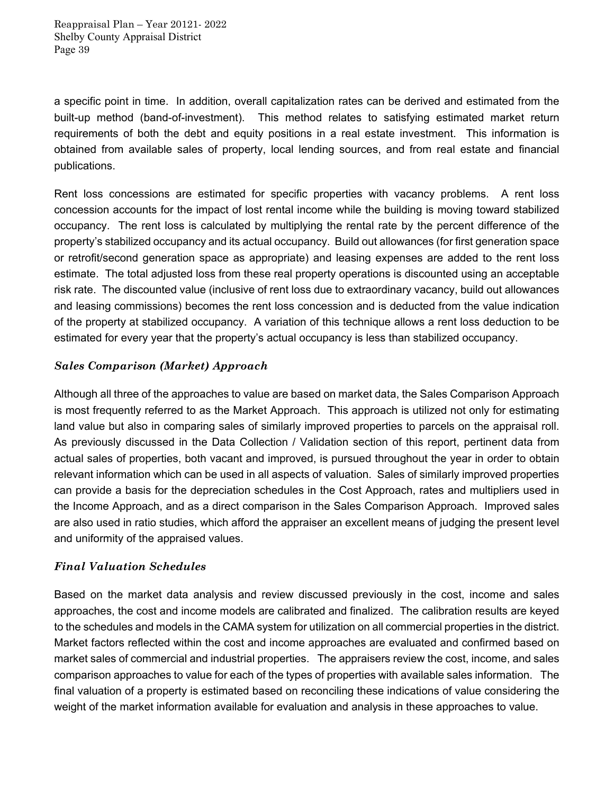a specific point in time. In addition, overall capitalization rates can be derived and estimated from the built-up method (band-of-investment). This method relates to satisfying estimated market return requirements of both the debt and equity positions in a real estate investment. This information is obtained from available sales of property, local lending sources, and from real estate and financial publications.

Rent loss concessions are estimated for specific properties with vacancy problems. A rent loss concession accounts for the impact of lost rental income while the building is moving toward stabilized occupancy. The rent loss is calculated by multiplying the rental rate by the percent difference of the property's stabilized occupancy and its actual occupancy. Build out allowances (for first generation space or retrofit/second generation space as appropriate) and leasing expenses are added to the rent loss estimate. The total adjusted loss from these real property operations is discounted using an acceptable risk rate. The discounted value (inclusive of rent loss due to extraordinary vacancy, build out allowances and leasing commissions) becomes the rent loss concession and is deducted from the value indication of the property at stabilized occupancy. A variation of this technique allows a rent loss deduction to be estimated for every year that the property's actual occupancy is less than stabilized occupancy.

### *Sales Comparison (Market) Approach*

Although all three of the approaches to value are based on market data, the Sales Comparison Approach is most frequently referred to as the Market Approach. This approach is utilized not only for estimating land value but also in comparing sales of similarly improved properties to parcels on the appraisal roll. As previously discussed in the Data Collection / Validation section of this report, pertinent data from actual sales of properties, both vacant and improved, is pursued throughout the year in order to obtain relevant information which can be used in all aspects of valuation. Sales of similarly improved properties can provide a basis for the depreciation schedules in the Cost Approach, rates and multipliers used in the Income Approach, and as a direct comparison in the Sales Comparison Approach. Improved sales are also used in ratio studies, which afford the appraiser an excellent means of judging the present level and uniformity of the appraised values.

### *Final Valuation Schedules*

Based on the market data analysis and review discussed previously in the cost, income and sales approaches, the cost and income models are calibrated and finalized. The calibration results are keyed to the schedules and models in the CAMA system for utilization on all commercial properties in the district. Market factors reflected within the cost and income approaches are evaluated and confirmed based on market sales of commercial and industrial properties. The appraisers review the cost, income, and sales comparison approaches to value for each of the types of properties with available sales information. The final valuation of a property is estimated based on reconciling these indications of value considering the weight of the market information available for evaluation and analysis in these approaches to value.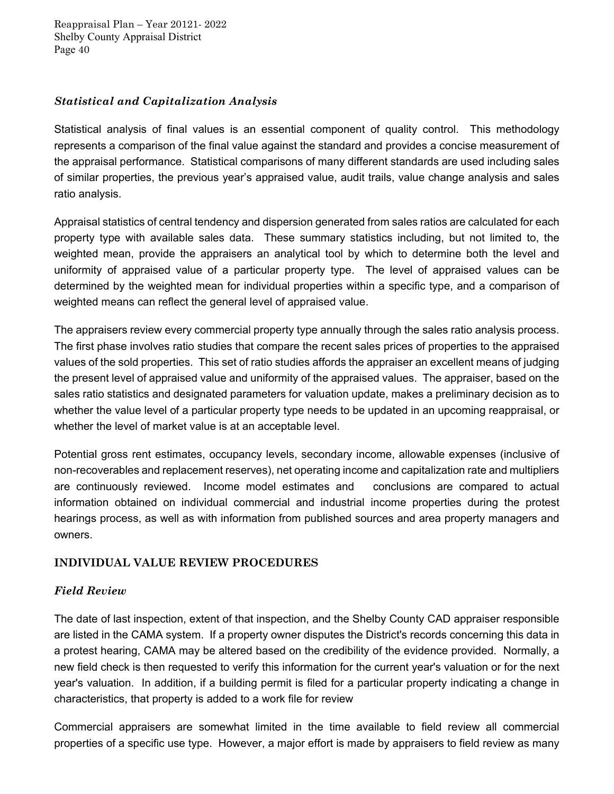### *Statistical and Capitalization Analysis*

Statistical analysis of final values is an essential component of quality control. This methodology represents a comparison of the final value against the standard and provides a concise measurement of the appraisal performance. Statistical comparisons of many different standards are used including sales of similar properties, the previous year's appraised value, audit trails, value change analysis and sales ratio analysis.

Appraisal statistics of central tendency and dispersion generated from sales ratios are calculated for each property type with available sales data. These summary statistics including, but not limited to, the weighted mean, provide the appraisers an analytical tool by which to determine both the level and uniformity of appraised value of a particular property type. The level of appraised values can be determined by the weighted mean for individual properties within a specific type, and a comparison of weighted means can reflect the general level of appraised value.

The appraisers review every commercial property type annually through the sales ratio analysis process. The first phase involves ratio studies that compare the recent sales prices of properties to the appraised values of the sold properties. This set of ratio studies affords the appraiser an excellent means of judging the present level of appraised value and uniformity of the appraised values. The appraiser, based on the sales ratio statistics and designated parameters for valuation update, makes a preliminary decision as to whether the value level of a particular property type needs to be updated in an upcoming reappraisal, or whether the level of market value is at an acceptable level.

Potential gross rent estimates, occupancy levels, secondary income, allowable expenses (inclusive of non-recoverables and replacement reserves), net operating income and capitalization rate and multipliers are continuously reviewed. Income model estimates and conclusions are compared to actual information obtained on individual commercial and industrial income properties during the protest hearings process, as well as with information from published sources and area property managers and owners.

### **INDIVIDUAL VALUE REVIEW PROCEDURES**

### *Field Review*

The date of last inspection, extent of that inspection, and the Shelby County CAD appraiser responsible are listed in the CAMA system. If a property owner disputes the District's records concerning this data in a protest hearing, CAMA may be altered based on the credibility of the evidence provided. Normally, a new field check is then requested to verify this information for the current year's valuation or for the next year's valuation. In addition, if a building permit is filed for a particular property indicating a change in characteristics, that property is added to a work file for review

Commercial appraisers are somewhat limited in the time available to field review all commercial properties of a specific use type. However, a major effort is made by appraisers to field review as many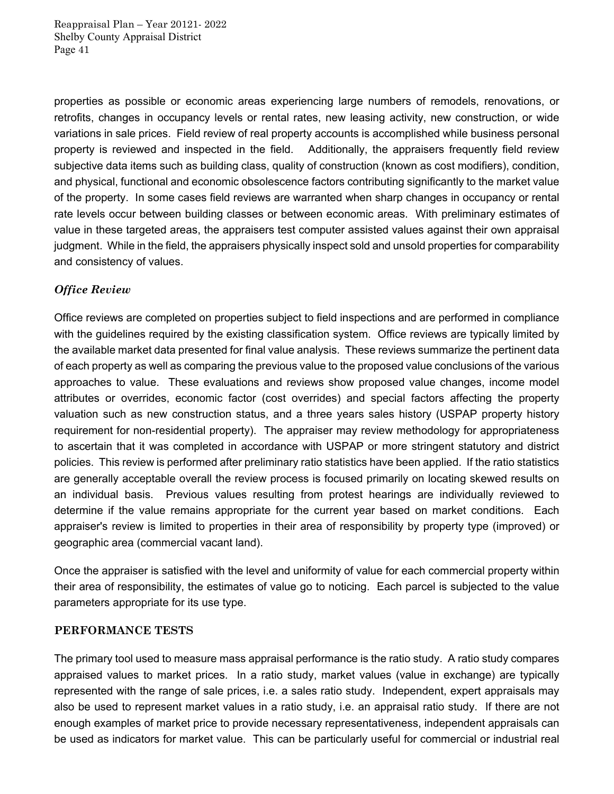properties as possible or economic areas experiencing large numbers of remodels, renovations, or retrofits, changes in occupancy levels or rental rates, new leasing activity, new construction, or wide variations in sale prices. Field review of real property accounts is accomplished while business personal property is reviewed and inspected in the field. Additionally, the appraisers frequently field review subjective data items such as building class, quality of construction (known as cost modifiers), condition, and physical, functional and economic obsolescence factors contributing significantly to the market value of the property. In some cases field reviews are warranted when sharp changes in occupancy or rental rate levels occur between building classes or between economic areas. With preliminary estimates of value in these targeted areas, the appraisers test computer assisted values against their own appraisal judgment. While in the field, the appraisers physically inspect sold and unsold properties for comparability and consistency of values.

### *Office Review*

Office reviews are completed on properties subject to field inspections and are performed in compliance with the guidelines required by the existing classification system. Office reviews are typically limited by the available market data presented for final value analysis. These reviews summarize the pertinent data of each property as well as comparing the previous value to the proposed value conclusions of the various approaches to value. These evaluations and reviews show proposed value changes, income model attributes or overrides, economic factor (cost overrides) and special factors affecting the property valuation such as new construction status, and a three years sales history (USPAP property history requirement for non-residential property). The appraiser may review methodology for appropriateness to ascertain that it was completed in accordance with USPAP or more stringent statutory and district policies. This review is performed after preliminary ratio statistics have been applied. If the ratio statistics are generally acceptable overall the review process is focused primarily on locating skewed results on an individual basis. Previous values resulting from protest hearings are individually reviewed to determine if the value remains appropriate for the current year based on market conditions. Each appraiser's review is limited to properties in their area of responsibility by property type (improved) or geographic area (commercial vacant land).

Once the appraiser is satisfied with the level and uniformity of value for each commercial property within their area of responsibility, the estimates of value go to noticing. Each parcel is subjected to the value parameters appropriate for its use type.

#### **PERFORMANCE TESTS**

The primary tool used to measure mass appraisal performance is the ratio study. A ratio study compares appraised values to market prices. In a ratio study, market values (value in exchange) are typically represented with the range of sale prices, i.e. a sales ratio study. Independent, expert appraisals may also be used to represent market values in a ratio study, i.e. an appraisal ratio study. If there are not enough examples of market price to provide necessary representativeness, independent appraisals can be used as indicators for market value. This can be particularly useful for commercial or industrial real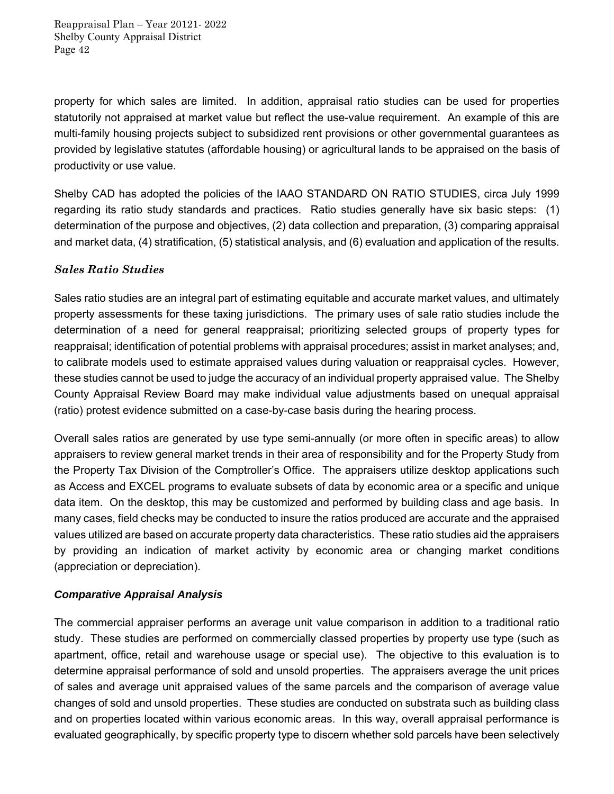property for which sales are limited. In addition, appraisal ratio studies can be used for properties statutorily not appraised at market value but reflect the use-value requirement. An example of this are multi-family housing projects subject to subsidized rent provisions or other governmental guarantees as provided by legislative statutes (affordable housing) or agricultural lands to be appraised on the basis of productivity or use value.

Shelby CAD has adopted the policies of the IAAO STANDARD ON RATIO STUDIES, circa July 1999 regarding its ratio study standards and practices. Ratio studies generally have six basic steps: (1) determination of the purpose and objectives, (2) data collection and preparation, (3) comparing appraisal and market data, (4) stratification, (5) statistical analysis, and (6) evaluation and application of the results.

### *Sales Ratio Studies*

Sales ratio studies are an integral part of estimating equitable and accurate market values, and ultimately property assessments for these taxing jurisdictions. The primary uses of sale ratio studies include the determination of a need for general reappraisal; prioritizing selected groups of property types for reappraisal; identification of potential problems with appraisal procedures; assist in market analyses; and, to calibrate models used to estimate appraised values during valuation or reappraisal cycles. However, these studies cannot be used to judge the accuracy of an individual property appraised value. The Shelby County Appraisal Review Board may make individual value adjustments based on unequal appraisal (ratio) protest evidence submitted on a case-by-case basis during the hearing process.

Overall sales ratios are generated by use type semi-annually (or more often in specific areas) to allow appraisers to review general market trends in their area of responsibility and for the Property Study from the Property Tax Division of the Comptroller's Office. The appraisers utilize desktop applications such as Access and EXCEL programs to evaluate subsets of data by economic area or a specific and unique data item. On the desktop, this may be customized and performed by building class and age basis. In many cases, field checks may be conducted to insure the ratios produced are accurate and the appraised values utilized are based on accurate property data characteristics. These ratio studies aid the appraisers by providing an indication of market activity by economic area or changing market conditions (appreciation or depreciation).

### *Comparative Appraisal Analysis*

The commercial appraiser performs an average unit value comparison in addition to a traditional ratio study. These studies are performed on commercially classed properties by property use type (such as apartment, office, retail and warehouse usage or special use). The objective to this evaluation is to determine appraisal performance of sold and unsold properties. The appraisers average the unit prices of sales and average unit appraised values of the same parcels and the comparison of average value changes of sold and unsold properties. These studies are conducted on substrata such as building class and on properties located within various economic areas. In this way, overall appraisal performance is evaluated geographically, by specific property type to discern whether sold parcels have been selectively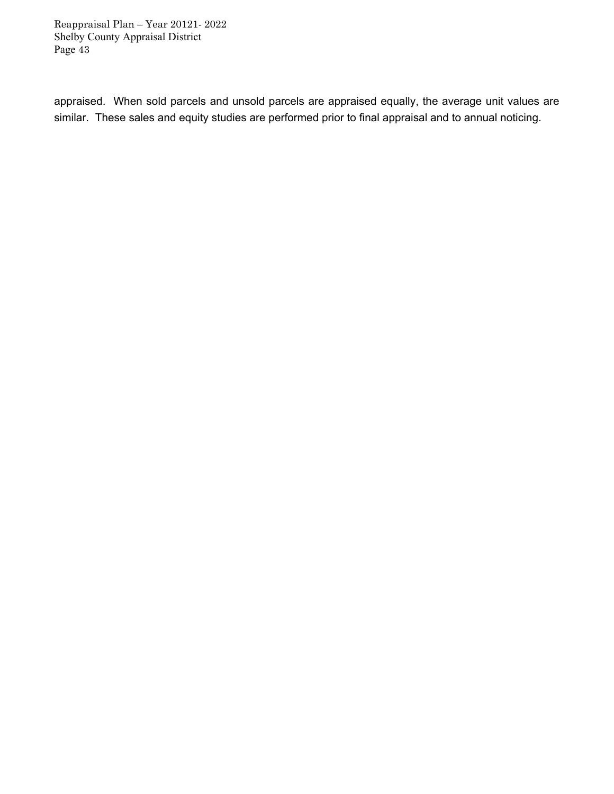appraised. When sold parcels and unsold parcels are appraised equally, the average unit values are similar. These sales and equity studies are performed prior to final appraisal and to annual noticing.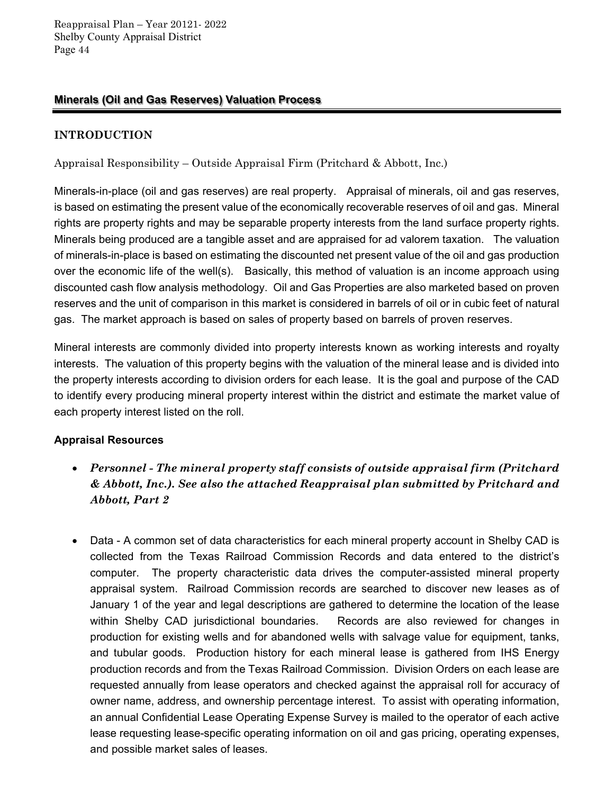### **Minerals (Oil and Gas Reserves) Valuation Process**

# **INTRODUCTION**

Appraisal Responsibility – Outside Appraisal Firm (Pritchard & Abbott, Inc.)

Minerals-in-place (oil and gas reserves) are real property. Appraisal of minerals, oil and gas reserves, is based on estimating the present value of the economically recoverable reserves of oil and gas. Mineral rights are property rights and may be separable property interests from the land surface property rights. Minerals being produced are a tangible asset and are appraised for ad valorem taxation. The valuation of minerals-in-place is based on estimating the discounted net present value of the oil and gas production over the economic life of the well(s). Basically, this method of valuation is an income approach using discounted cash flow analysis methodology. Oil and Gas Properties are also marketed based on proven reserves and the unit of comparison in this market is considered in barrels of oil or in cubic feet of natural gas. The market approach is based on sales of property based on barrels of proven reserves.

Mineral interests are commonly divided into property interests known as working interests and royalty interests. The valuation of this property begins with the valuation of the mineral lease and is divided into the property interests according to division orders for each lease. It is the goal and purpose of the CAD to identify every producing mineral property interest within the district and estimate the market value of each property interest listed on the roll.

### **Appraisal Resources**

- *Personnel The mineral property staff consists of outside appraisal firm (Pritchard & Abbott, Inc.). See also the attached Reappraisal plan submitted by Pritchard and Abbott, Part 2*
- Data A common set of data characteristics for each mineral property account in Shelby CAD is collected from the Texas Railroad Commission Records and data entered to the district's computer. The property characteristic data drives the computer-assisted mineral property appraisal system. Railroad Commission records are searched to discover new leases as of January 1 of the year and legal descriptions are gathered to determine the location of the lease within Shelby CAD jurisdictional boundaries. Records are also reviewed for changes in production for existing wells and for abandoned wells with salvage value for equipment, tanks, and tubular goods. Production history for each mineral lease is gathered from IHS Energy production records and from the Texas Railroad Commission. Division Orders on each lease are requested annually from lease operators and checked against the appraisal roll for accuracy of owner name, address, and ownership percentage interest. To assist with operating information, an annual Confidential Lease Operating Expense Survey is mailed to the operator of each active lease requesting lease-specific operating information on oil and gas pricing, operating expenses, and possible market sales of leases.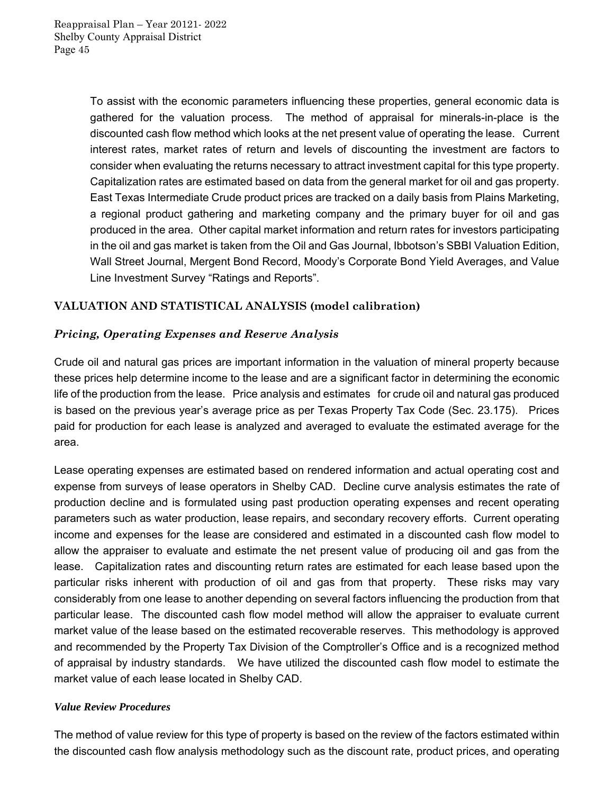To assist with the economic parameters influencing these properties, general economic data is gathered for the valuation process. The method of appraisal for minerals-in-place is the discounted cash flow method which looks at the net present value of operating the lease. Current interest rates, market rates of return and levels of discounting the investment are factors to consider when evaluating the returns necessary to attract investment capital for this type property. Capitalization rates are estimated based on data from the general market for oil and gas property. East Texas Intermediate Crude product prices are tracked on a daily basis from Plains Marketing, a regional product gathering and marketing company and the primary buyer for oil and gas produced in the area. Other capital market information and return rates for investors participating in the oil and gas market is taken from the Oil and Gas Journal, Ibbotson's SBBI Valuation Edition, Wall Street Journal, Mergent Bond Record, Moody's Corporate Bond Yield Averages, and Value Line Investment Survey "Ratings and Reports".

# **VALUATION AND STATISTICAL ANALYSIS (model calibration)**

### *Pricing, Operating Expenses and Reserve Analysis*

Crude oil and natural gas prices are important information in the valuation of mineral property because these prices help determine income to the lease and are a significant factor in determining the economic life of the production from the lease. Price analysis and estimates for crude oil and natural gas produced is based on the previous year's average price as per Texas Property Tax Code (Sec. 23.175). Prices paid for production for each lease is analyzed and averaged to evaluate the estimated average for the area.

Lease operating expenses are estimated based on rendered information and actual operating cost and expense from surveys of lease operators in Shelby CAD. Decline curve analysis estimates the rate of production decline and is formulated using past production operating expenses and recent operating parameters such as water production, lease repairs, and secondary recovery efforts. Current operating income and expenses for the lease are considered and estimated in a discounted cash flow model to allow the appraiser to evaluate and estimate the net present value of producing oil and gas from the lease. Capitalization rates and discounting return rates are estimated for each lease based upon the particular risks inherent with production of oil and gas from that property. These risks may vary considerably from one lease to another depending on several factors influencing the production from that particular lease. The discounted cash flow model method will allow the appraiser to evaluate current market value of the lease based on the estimated recoverable reserves. This methodology is approved and recommended by the Property Tax Division of the Comptroller's Office and is a recognized method of appraisal by industry standards. We have utilized the discounted cash flow model to estimate the market value of each lease located in Shelby CAD.

### *Value Review Procedures*

The method of value review for this type of property is based on the review of the factors estimated within the discounted cash flow analysis methodology such as the discount rate, product prices, and operating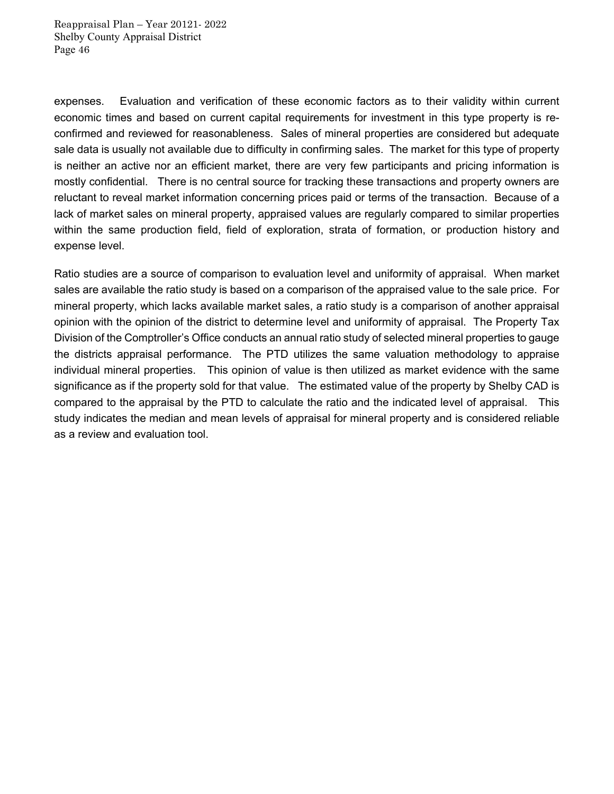expenses. Evaluation and verification of these economic factors as to their validity within current economic times and based on current capital requirements for investment in this type property is reconfirmed and reviewed for reasonableness. Sales of mineral properties are considered but adequate sale data is usually not available due to difficulty in confirming sales. The market for this type of property is neither an active nor an efficient market, there are very few participants and pricing information is mostly confidential. There is no central source for tracking these transactions and property owners are reluctant to reveal market information concerning prices paid or terms of the transaction. Because of a lack of market sales on mineral property, appraised values are regularly compared to similar properties within the same production field, field of exploration, strata of formation, or production history and expense level.

Ratio studies are a source of comparison to evaluation level and uniformity of appraisal. When market sales are available the ratio study is based on a comparison of the appraised value to the sale price. For mineral property, which lacks available market sales, a ratio study is a comparison of another appraisal opinion with the opinion of the district to determine level and uniformity of appraisal. The Property Tax Division of the Comptroller's Office conducts an annual ratio study of selected mineral properties to gauge the districts appraisal performance. The PTD utilizes the same valuation methodology to appraise individual mineral properties. This opinion of value is then utilized as market evidence with the same significance as if the property sold for that value. The estimated value of the property by Shelby CAD is compared to the appraisal by the PTD to calculate the ratio and the indicated level of appraisal. This study indicates the median and mean levels of appraisal for mineral property and is considered reliable as a review and evaluation tool.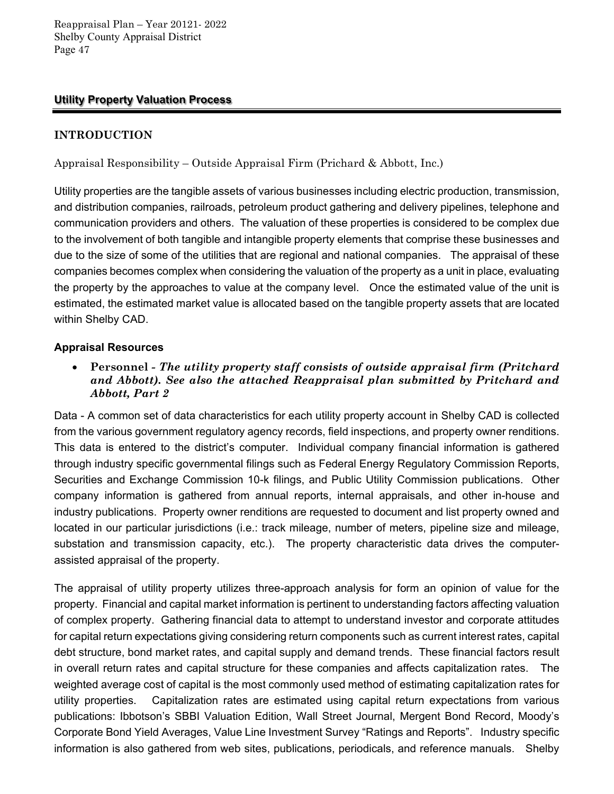### **Utility Property Valuation Process**

# **INTRODUCTION**

Appraisal Responsibility – Outside Appraisal Firm (Prichard & Abbott, Inc.)

Utility properties are the tangible assets of various businesses including electric production, transmission, and distribution companies, railroads, petroleum product gathering and delivery pipelines, telephone and communication providers and others. The valuation of these properties is considered to be complex due to the involvement of both tangible and intangible property elements that comprise these businesses and due to the size of some of the utilities that are regional and national companies. The appraisal of these companies becomes complex when considering the valuation of the property as a unit in place, evaluating the property by the approaches to value at the company level. Once the estimated value of the unit is estimated, the estimated market value is allocated based on the tangible property assets that are located within Shelby CAD.

### **Appraisal Resources**

 **Personnel** *- The utility property staff consists of outside appraisal firm (Pritchard and Abbott). See also the attached Reappraisal plan submitted by Pritchard and Abbott, Part 2* 

Data - A common set of data characteristics for each utility property account in Shelby CAD is collected from the various government regulatory agency records, field inspections, and property owner renditions. This data is entered to the district's computer. Individual company financial information is gathered through industry specific governmental filings such as Federal Energy Regulatory Commission Reports, Securities and Exchange Commission 10-k filings, and Public Utility Commission publications. Other company information is gathered from annual reports, internal appraisals, and other in-house and industry publications. Property owner renditions are requested to document and list property owned and located in our particular jurisdictions (i.e.: track mileage, number of meters, pipeline size and mileage, substation and transmission capacity, etc.). The property characteristic data drives the computerassisted appraisal of the property.

The appraisal of utility property utilizes three-approach analysis for form an opinion of value for the property. Financial and capital market information is pertinent to understanding factors affecting valuation of complex property. Gathering financial data to attempt to understand investor and corporate attitudes for capital return expectations giving considering return components such as current interest rates, capital debt structure, bond market rates, and capital supply and demand trends. These financial factors result in overall return rates and capital structure for these companies and affects capitalization rates. The weighted average cost of capital is the most commonly used method of estimating capitalization rates for utility properties. Capitalization rates are estimated using capital return expectations from various publications: Ibbotson's SBBI Valuation Edition, Wall Street Journal, Mergent Bond Record, Moody's Corporate Bond Yield Averages, Value Line Investment Survey "Ratings and Reports". Industry specific information is also gathered from web sites, publications, periodicals, and reference manuals. Shelby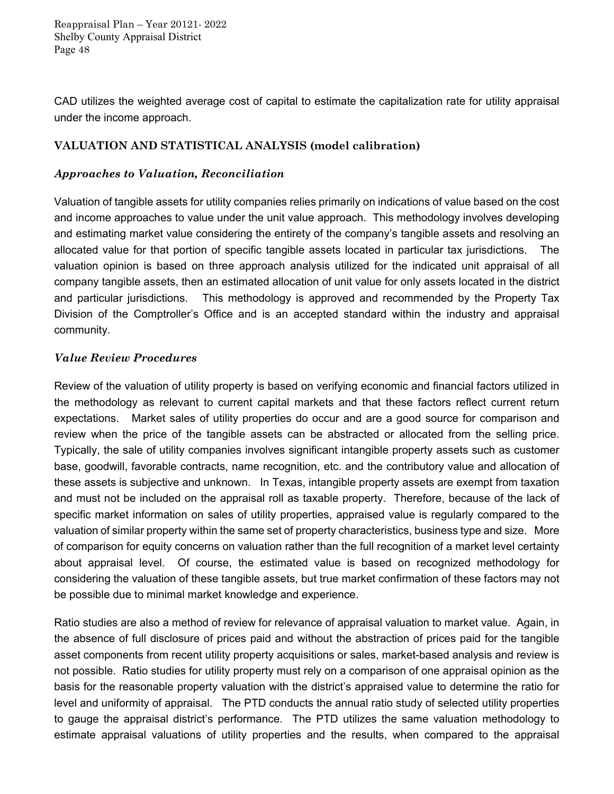CAD utilizes the weighted average cost of capital to estimate the capitalization rate for utility appraisal under the income approach.

### **VALUATION AND STATISTICAL ANALYSIS (model calibration)**

# *Approaches to Valuation, Reconciliation*

Valuation of tangible assets for utility companies relies primarily on indications of value based on the cost and income approaches to value under the unit value approach. This methodology involves developing and estimating market value considering the entirety of the company's tangible assets and resolving an allocated value for that portion of specific tangible assets located in particular tax jurisdictions. The valuation opinion is based on three approach analysis utilized for the indicated unit appraisal of all company tangible assets, then an estimated allocation of unit value for only assets located in the district and particular jurisdictions. This methodology is approved and recommended by the Property Tax Division of the Comptroller's Office and is an accepted standard within the industry and appraisal community.

### *Value Review Procedures*

Review of the valuation of utility property is based on verifying economic and financial factors utilized in the methodology as relevant to current capital markets and that these factors reflect current return expectations. Market sales of utility properties do occur and are a good source for comparison and review when the price of the tangible assets can be abstracted or allocated from the selling price. Typically, the sale of utility companies involves significant intangible property assets such as customer base, goodwill, favorable contracts, name recognition, etc. and the contributory value and allocation of these assets is subjective and unknown. In Texas, intangible property assets are exempt from taxation and must not be included on the appraisal roll as taxable property. Therefore, because of the lack of specific market information on sales of utility properties, appraised value is regularly compared to the valuation of similar property within the same set of property characteristics, business type and size. More of comparison for equity concerns on valuation rather than the full recognition of a market level certainty about appraisal level. Of course, the estimated value is based on recognized methodology for considering the valuation of these tangible assets, but true market confirmation of these factors may not be possible due to minimal market knowledge and experience.

Ratio studies are also a method of review for relevance of appraisal valuation to market value. Again, in the absence of full disclosure of prices paid and without the abstraction of prices paid for the tangible asset components from recent utility property acquisitions or sales, market-based analysis and review is not possible. Ratio studies for utility property must rely on a comparison of one appraisal opinion as the basis for the reasonable property valuation with the district's appraised value to determine the ratio for level and uniformity of appraisal. The PTD conducts the annual ratio study of selected utility properties to gauge the appraisal district's performance. The PTD utilizes the same valuation methodology to estimate appraisal valuations of utility properties and the results, when compared to the appraisal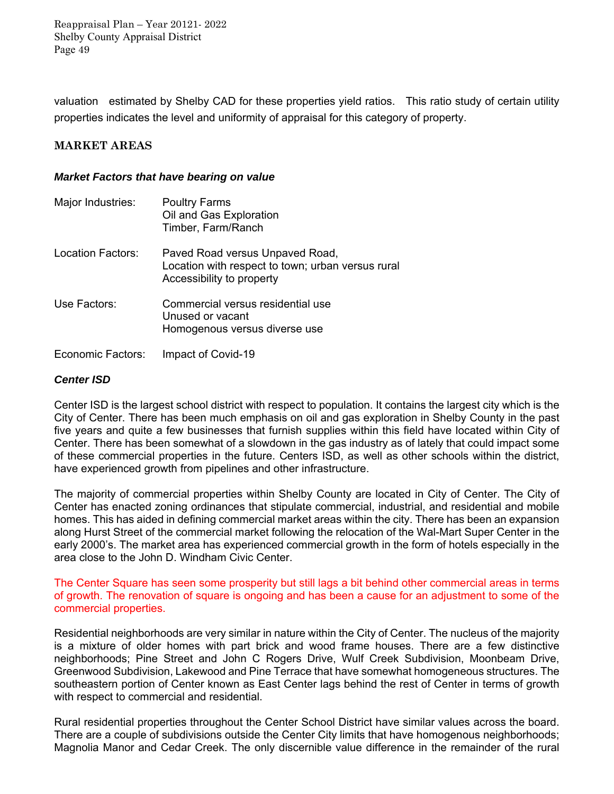valuation estimated by Shelby CAD for these properties yield ratios. This ratio study of certain utility properties indicates the level and uniformity of appraisal for this category of property.

### **MARKET AREAS**

#### *Market Factors that have bearing on value*

| Major Industries: | <b>Poultry Farms</b><br>Oil and Gas Exploration<br>Timber, Farm/Ranch                                             |
|-------------------|-------------------------------------------------------------------------------------------------------------------|
| Location Factors: | Paved Road versus Unpaved Road,<br>Location with respect to town; urban versus rural<br>Accessibility to property |
| Use Factors:      | Commercial versus residential use<br>Unused or vacant<br>Homogenous versus diverse use                            |
| Economic Factors: | Impact of Covid-19                                                                                                |

### *Center ISD*

Center ISD is the largest school district with respect to population. It contains the largest city which is the City of Center. There has been much emphasis on oil and gas exploration in Shelby County in the past five years and quite a few businesses that furnish supplies within this field have located within City of Center. There has been somewhat of a slowdown in the gas industry as of lately that could impact some of these commercial properties in the future. Centers ISD, as well as other schools within the district, have experienced growth from pipelines and other infrastructure.

The majority of commercial properties within Shelby County are located in City of Center. The City of Center has enacted zoning ordinances that stipulate commercial, industrial, and residential and mobile homes. This has aided in defining commercial market areas within the city. There has been an expansion along Hurst Street of the commercial market following the relocation of the Wal-Mart Super Center in the early 2000's. The market area has experienced commercial growth in the form of hotels especially in the area close to the John D. Windham Civic Center.

The Center Square has seen some prosperity but still lags a bit behind other commercial areas in terms of growth. The renovation of square is ongoing and has been a cause for an adjustment to some of the commercial properties.

Residential neighborhoods are very similar in nature within the City of Center. The nucleus of the majority is a mixture of older homes with part brick and wood frame houses. There are a few distinctive neighborhoods; Pine Street and John C Rogers Drive, Wulf Creek Subdivision, Moonbeam Drive, Greenwood Subdivision, Lakewood and Pine Terrace that have somewhat homogeneous structures. The southeastern portion of Center known as East Center lags behind the rest of Center in terms of growth with respect to commercial and residential.

Rural residential properties throughout the Center School District have similar values across the board. There are a couple of subdivisions outside the Center City limits that have homogenous neighborhoods; Magnolia Manor and Cedar Creek. The only discernible value difference in the remainder of the rural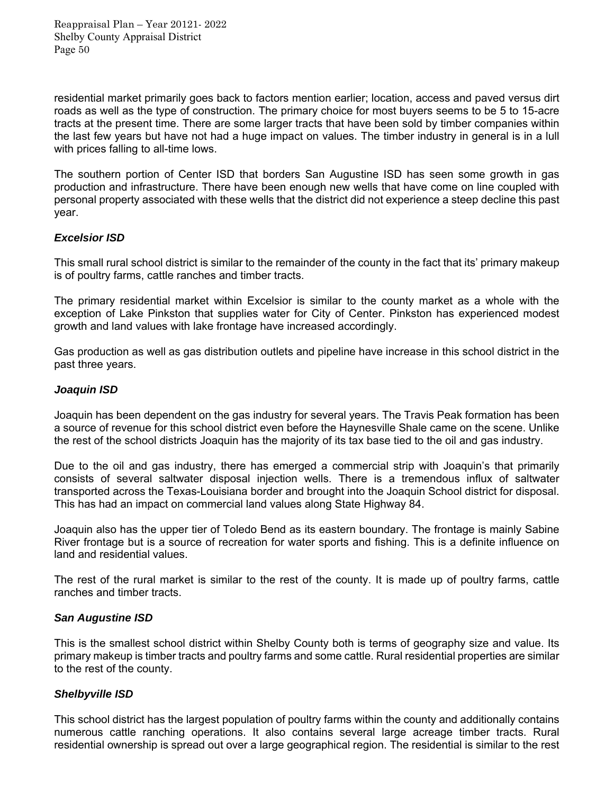residential market primarily goes back to factors mention earlier; location, access and paved versus dirt roads as well as the type of construction. The primary choice for most buyers seems to be 5 to 15-acre tracts at the present time. There are some larger tracts that have been sold by timber companies within the last few years but have not had a huge impact on values. The timber industry in general is in a lull with prices falling to all-time lows.

The southern portion of Center ISD that borders San Augustine ISD has seen some growth in gas production and infrastructure. There have been enough new wells that have come on line coupled with personal property associated with these wells that the district did not experience a steep decline this past year.

### *Excelsior ISD*

This small rural school district is similar to the remainder of the county in the fact that its' primary makeup is of poultry farms, cattle ranches and timber tracts.

The primary residential market within Excelsior is similar to the county market as a whole with the exception of Lake Pinkston that supplies water for City of Center. Pinkston has experienced modest growth and land values with lake frontage have increased accordingly.

Gas production as well as gas distribution outlets and pipeline have increase in this school district in the past three years.

#### *Joaquin ISD*

Joaquin has been dependent on the gas industry for several years. The Travis Peak formation has been a source of revenue for this school district even before the Haynesville Shale came on the scene. Unlike the rest of the school districts Joaquin has the majority of its tax base tied to the oil and gas industry.

Due to the oil and gas industry, there has emerged a commercial strip with Joaquin's that primarily consists of several saltwater disposal injection wells. There is a tremendous influx of saltwater transported across the Texas-Louisiana border and brought into the Joaquin School district for disposal. This has had an impact on commercial land values along State Highway 84.

Joaquin also has the upper tier of Toledo Bend as its eastern boundary. The frontage is mainly Sabine River frontage but is a source of recreation for water sports and fishing. This is a definite influence on land and residential values.

The rest of the rural market is similar to the rest of the county. It is made up of poultry farms, cattle ranches and timber tracts.

#### *San Augustine ISD*

This is the smallest school district within Shelby County both is terms of geography size and value. Its primary makeup is timber tracts and poultry farms and some cattle. Rural residential properties are similar to the rest of the county.

#### *Shelbyville ISD*

This school district has the largest population of poultry farms within the county and additionally contains numerous cattle ranching operations. It also contains several large acreage timber tracts. Rural residential ownership is spread out over a large geographical region. The residential is similar to the rest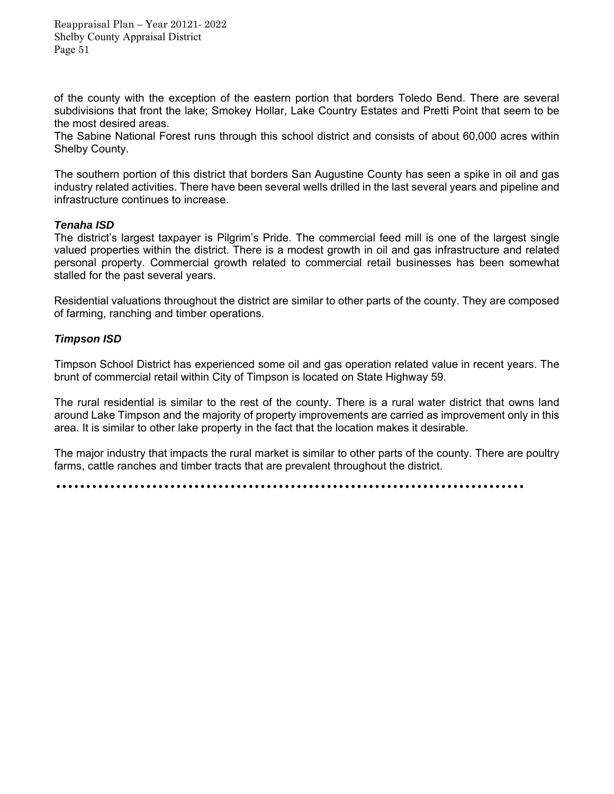of the county with the exception of the eastern portion that borders Toledo Bend. There are several subdivisions that front the lake; Smokey Hollar, Lake Country Estates and Pretti Point that seem to be the most desired areas.

The Sabine National Forest runs through this school district and consists of about 60,000 acres within Shelby County.

The southern portion of this district that borders San Augustine County has seen a spike in oil and gas industry related activities. There have been several wells drilled in the last several years and pipeline and infrastructure continues to increase.

#### *Tenaha ISD*

The district's largest taxpayer is Pilgrim's Pride. The commercial feed mill is one of the largest single valued properties within the district. There is a modest growth in oil and gas infrastructure and related personal property. Commercial growth related to commercial retail businesses has been somewhat stalled for the past several years.

Residential valuations throughout the district are similar to other parts of the county. They are composed of farming, ranching and timber operations.

#### *Timpson ISD*

Timpson School District has experienced some oil and gas operation related value in recent years. The brunt of commercial retail within City of Timpson is located on State Highway 59.

The rural residential is similar to the rest of the county. There is a rural water district that owns land around Lake Timpson and the majority of property improvements are carried as improvement only in this area. It is similar to other lake property in the fact that the location makes it desirable.

The major industry that impacts the rural market is similar to other parts of the county. There are poultry farms, cattle ranches and timber tracts that are prevalent throughout the district.